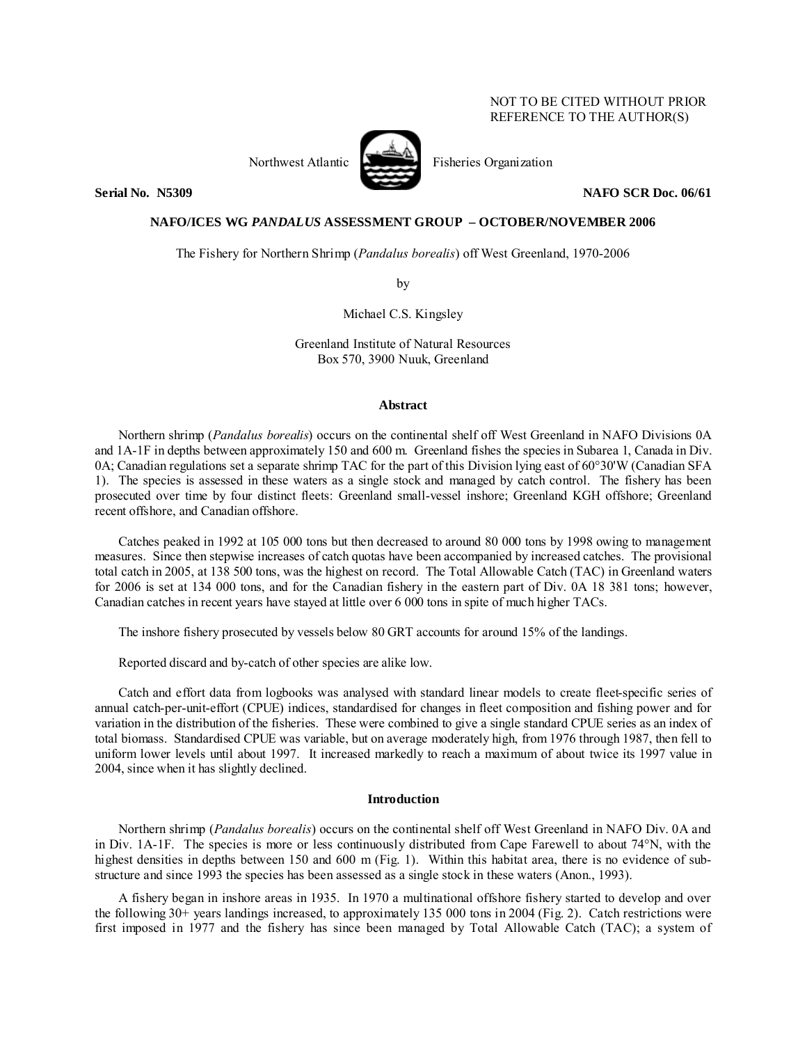# NOT TO BE CITED WITHOUT PRIOR REFERENCE TO THE AUTHOR(S)



Northwest Atlantic Fisheries Organization

**Serial No. 3.5309 2.2. Serial No. 3.5309 2.2. Serial No. 3.5309 2.2. Serial No. 3.5309 2.2. Serial No. 3.5309** 

# **NAFO/ICES WG** *PANDALUS* **ASSESSMENT GROUP – OCTOBER/NOVEMBER 2006**

The Fishery for Northern Shrimp (*Pandalus borealis*) off West Greenland, 1970-2006

by

Michael C.S. Kingsley

Greenland Institute of Natural Resources Box 570, 3900 Nuuk, Greenland

# **Abstract**

Northern shrimp (*Pandalus borealis*) occurs on the continental shelf off West Greenland in NAFO Divisions 0A and 1A-1F in depths between approximately 150 and 600 m. Greenland fishes the species in Subarea 1, Canada in Div. 0A; Canadian regulations set a separate shrimp TAC for the part of this Division lying east of 60°30'W (Canadian SFA 1). The species is assessed in these waters as a single stock and managed by catch control. The fishery has been prosecuted over time by four distinct fleets: Greenland small-vessel inshore; Greenland KGH offshore; Greenland recent offshore, and Canadian offshore.

Catches peaked in 1992 at 105 000 tons but then decreased to around 80 000 tons by 1998 owing to management measures. Since then stepwise increases of catch quotas have been accompanied by increased catches. The provisional total catch in 2005, at 138 500 tons, was the highest on record. The Total Allowable Catch (TAC) in Greenland waters for 2006 is set at 134 000 tons, and for the Canadian fishery in the eastern part of Div. 0A 18 381 tons; however, Canadian catches in recent years have stayed at little over 6 000 tons in spite of much higher TACs.

The inshore fishery prosecuted by vessels below 80 GRT accounts for around 15% of the landings.

Reported discard and by-catch of other species are alike low.

Catch and effort data from logbooks was analysed with standard linear models to create fleet-specific series of annual catch-per-unit-effort (CPUE) indices, standardised for changes in fleet composition and fishing power and for variation in the distribution of the fisheries. These were combined to give a single standard CPUE series as an index of total biomass. Standardised CPUE was variable, but on average moderately high, from 1976 through 1987, then fell to uniform lower levels until about 1997. It increased markedly to reach a maximum of about twice its 1997 value in 2004, since when it has slightly declined.

### **Introduction**

Northern shrimp (*Pandalus borealis*) occurs on the continental shelf off West Greenland in NAFO Div. 0A and in Div. 1A-1F. The species is more or less continuously distributed from Cape Farewell to about 74°N, with the highest densities in depths between 150 and 600 m (Fig. 1). Within this habitat area, there is no evidence of substructure and since 1993 the species has been assessed as a single stock in these waters (Anon., 1993).

A fishery began in inshore areas in 1935. In 1970 a multinational offshore fishery started to develop and over the following 30+ years landings increased, to approximately 135 000 tons in 2004 (Fig. 2). Catch restrictions were first imposed in 1977 and the fishery has since been managed by Total Allowable Catch (TAC); a system of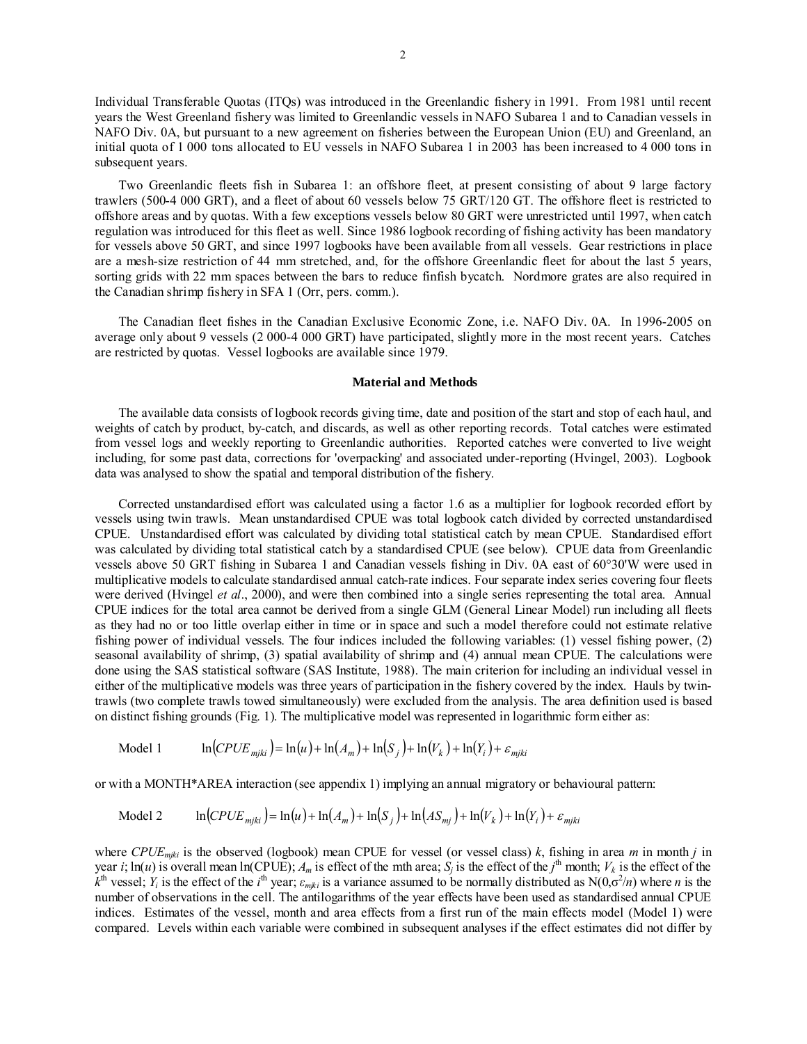Individual Transferable Quotas (ITQs) was introduced in the Greenlandic fishery in 1991. From 1981 until recent years the West Greenland fishery was limited to Greenlandic vessels in NAFO Subarea 1 and to Canadian vessels in NAFO Div. 0A, but pursuant to a new agreement on fisheries between the European Union (EU) and Greenland, an initial quota of 1 000 tons allocated to EU vessels in NAFO Subarea 1 in 2003 has been increased to 4 000 tons in subsequent years.

Two Greenlandic fleets fish in Subarea 1: an offshore fleet, at present consisting of about 9 large factory trawlers (500-4 000 GRT), and a fleet of about 60 vessels below 75 GRT/120 GT. The offshore fleet is restricted to offshore areas and by quotas. With a few exceptions vessels below 80 GRT were unrestricted until 1997, when catch regulation was introduced for this fleet as well. Since 1986 logbook recording of fishing activity has been mandatory for vessels above 50 GRT, and since 1997 logbooks have been available from all vessels. Gear restrictions in place are a mesh-size restriction of 44 mm stretched, and, for the offshore Greenlandic fleet for about the last 5 years, sorting grids with 22 mm spaces between the bars to reduce finfish bycatch. Nordmore grates are also required in the Canadian shrimp fishery in SFA 1 (Orr, pers. comm.).

The Canadian fleet fishes in the Canadian Exclusive Economic Zone, i.e. NAFO Div. 0A. In 1996-2005 on average only about 9 vessels (2 000-4 000 GRT) have participated, slightly more in the most recent years. Catches are restricted by quotas. Vessel logbooks are available since 1979.

#### **Material and Methods**

The available data consists of logbook records giving time, date and position of the start and stop of each haul, and weights of catch by product, by-catch, and discards, as well as other reporting records. Total catches were estimated from vessel logs and weekly reporting to Greenlandic authorities. Reported catches were converted to live weight including, for some past data, corrections for 'overpacking' and associated under-reporting (Hvingel, 2003). Logbook data was analysed to show the spatial and temporal distribution of the fishery.

Corrected unstandardised effort was calculated using a factor 1.6 as a multiplier for logbook recorded effort by vessels using twin trawls. Mean unstandardised CPUE was total logbook catch divided by corrected unstandardised CPUE. Unstandardised effort was calculated by dividing total statistical catch by mean CPUE. Standardised effort was calculated by dividing total statistical catch by a standardised CPUE (see below). CPUE data from Greenlandic vessels above 50 GRT fishing in Subarea 1 and Canadian vessels fishing in Div. 0A east of 60°30'W were used in multiplicative models to calculate standardised annual catch-rate indices. Four separate index series covering four fleets were derived (Hvingel *et al*., 2000), and were then combined into a single series representing the total area. Annual CPUE indices for the total area cannot be derived from a single GLM (General Linear Model) run including all fleets as they had no or too little overlap either in time or in space and such a model therefore could not estimate relative fishing power of individual vessels. The four indices included the following variables: (1) vessel fishing power, (2) seasonal availability of shrimp, (3) spatial availability of shrimp and (4) annual mean CPUE. The calculations were done using the SAS statistical software (SAS Institute, 1988). The main criterion for including an individual vessel in either of the multiplicative models was three years of participation in the fishery covered by the index. Hauls by twintrawls (two complete trawls towed simultaneously) were excluded from the analysis. The area definition used is based on distinct fishing grounds (Fig. 1). The multiplicative model was represented in logarithmic form either as:

Model 1  $\ln(CPUE_{miki}) = \ln(u) + \ln(A_m) + \ln(S_i) + \ln(V_k) + \ln(Y_i) + \varepsilon_{miki}$ 

or with a MONTH\*AREA interaction (see appendix 1) implying an annual migratory or behavioural pattern:

Model 2 
$$
\ln(CPUE_{mjki}) = \ln(u) + \ln(A_m) + \ln(S_j) + \ln(AS_{mj}) + \ln(V_k) + \ln(Y_i) + \varepsilon_{mjki}
$$

where *CPUEmjki* is the observed (logbook) mean CPUE for vessel (or vessel class) *k*, fishing in area *m* in month *j* in year *i*;  $\ln(u)$  is overall mean  $\ln(\text{CPUE})$ ;  $A_m$  is effect of the mth area;  $S_j$  is the effect of the *j*<sup>th</sup> month;  $V_k$  is the effect of the  $k^{\text{th}}$  vessel; *Y<sub>i</sub>* is the effect of the *i*<sup>th</sup> year;  $\varepsilon_{mjki}$  is a variance assumed to be normally distributed as N(0, $\sigma^2/n$ ) where *n* is the number of observations in the cell. The antilogarithms of the year effects have been used as standardised annual CPUE indices. Estimates of the vessel, month and area effects from a first run of the main effects model (Model 1) were compared. Levels within each variable were combined in subsequent analyses if the effect estimates did not differ by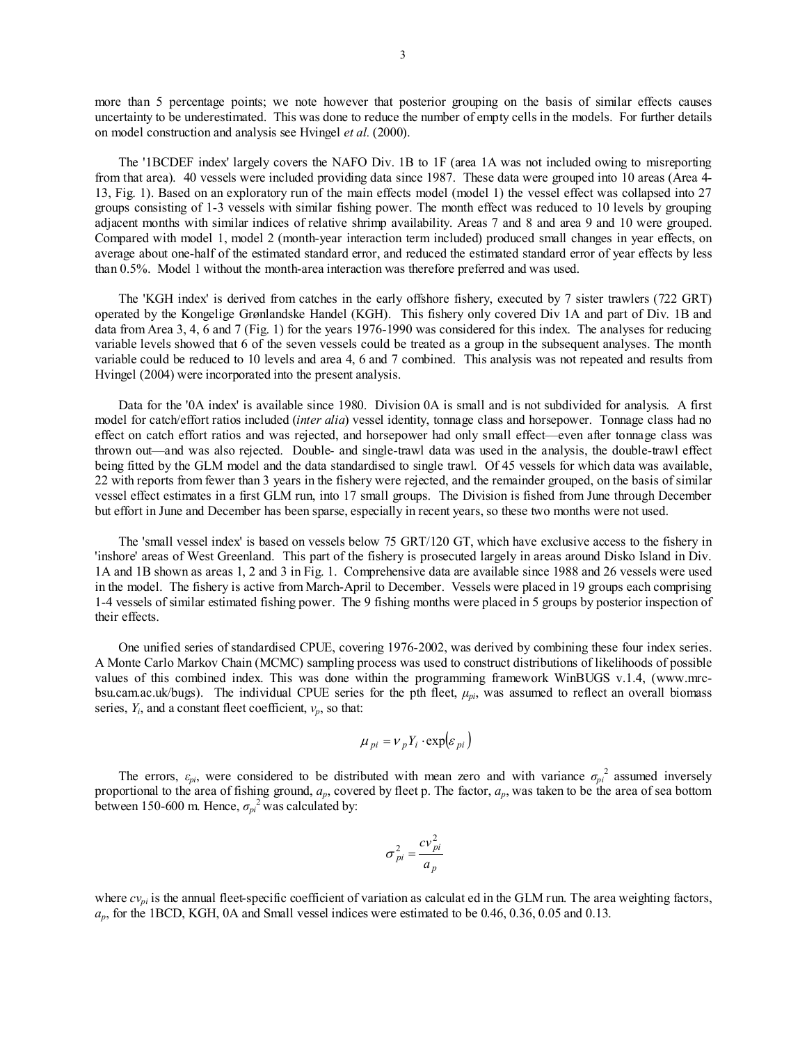more than 5 percentage points; we note however that posterior grouping on the basis of similar effects causes uncertainty to be underestimated. This was done to reduce the number of empty cells in the models. For further details on model construction and analysis see Hvingel *et al.* (2000).

The '1BCDEF index' largely covers the NAFO Div. 1B to 1F (area 1A was not included owing to misreporting from that area). 40 vessels were included providing data since 1987. These data were grouped into 10 areas (Area 4- 13, Fig. 1). Based on an exploratory run of the main effects model (model 1) the vessel effect was collapsed into 27 groups consisting of 1-3 vessels with similar fishing power. The month effect was reduced to 10 levels by grouping adjacent months with similar indices of relative shrimp availability. Areas 7 and 8 and area 9 and 10 were grouped. Compared with model 1, model 2 (month-year interaction term included) produced small changes in year effects, on average about one-half of the estimated standard error, and reduced the estimated standard error of year effects by less than 0.5%. Model 1 without the month-area interaction was therefore preferred and was used.

The 'KGH index' is derived from catches in the early offshore fishery, executed by 7 sister trawlers (722 GRT) operated by the Kongelige Grønlandske Handel (KGH). This fishery only covered Div 1A and part of Div. 1B and data from Area 3, 4, 6 and 7 (Fig. 1) for the years 1976-1990 was considered for this index. The analyses for reducing variable levels showed that 6 of the seven vessels could be treated as a group in the subsequent analyses. The month variable could be reduced to 10 levels and area 4, 6 and 7 combined. This analysis was not repeated and results from Hvingel (2004) were incorporated into the present analysis.

Data for the '0A index' is available since 1980. Division 0A is small and is not subdivided for analysis. A first model for catch/effort ratios included (*inter alia*) vessel identity, tonnage class and horsepower. Tonnage class had no effect on catch effort ratios and was rejected, and horsepower had only small effect—even after tonnage class was thrown out—and was also rejected. Double- and single-trawl data was used in the analysis, the double-trawl effect being fitted by the GLM model and the data standardised to single trawl. Of 45 vessels for which data was available, 22 with reports from fewer than 3 years in the fishery were rejected, and the remainder grouped, on the basis of similar vessel effect estimates in a first GLM run, into 17 small groups. The Division is fished from June through December but effort in June and December has been sparse, especially in recent years, so these two months were not used.

The 'small vessel index' is based on vessels below 75 GRT/120 GT, which have exclusive access to the fishery in 'inshore' areas of West Greenland. This part of the fishery is prosecuted largely in areas around Disko Island in Div. 1A and 1B shown as areas 1, 2 and 3 in Fig. 1. Comprehensive data are available since 1988 and 26 vessels were used in the model. The fishery is active from March-April to December. Vessels were placed in 19 groups each comprising 1-4 vessels of similar estimated fishing power. The 9 fishing months were placed in 5 groups by posterior inspection of their effects.

One unified series of standardised CPUE, covering 1976-2002, was derived by combining these four index series. A Monte Carlo Markov Chain (MCMC) sampling process was used to construct distributions of likelihoods of possible values of this combined index. This was done within the programming framework WinBUGS v.1.4, (www.mrcbsu.cam.ac.uk/bugs). The individual CPUE series for the pth fleet, *μpi*, was assumed to reflect an overall biomass series,  $Y_i$ , and a constant fleet coefficient,  $v_p$ , so that:

$$
\mu_{pi} = v_p Y_i \cdot \exp(\varepsilon_{pi})
$$

The errors,  $\varepsilon_{pi}$ , were considered to be distributed with mean zero and with variance  $\sigma_{pi}^2$  assumed inversely proportional to the area of fishing ground, *ap*, covered by fleet p. The factor, *ap*, was taken to be the area of sea bottom between 150-600 m. Hence,  $\sigma_{pi}^2$  was calculated by:

$$
\sigma_{pi}^2 = \frac{cv_{pi}^2}{a_p}
$$

where  $cv_{pi}$  is the annual fleet-specific coefficient of variation as calculat ed in the GLM run. The area weighting factors, *ap*, for the 1BCD, KGH, 0A and Small vessel indices were estimated to be 0.46, 0.36, 0.05 and 0.13.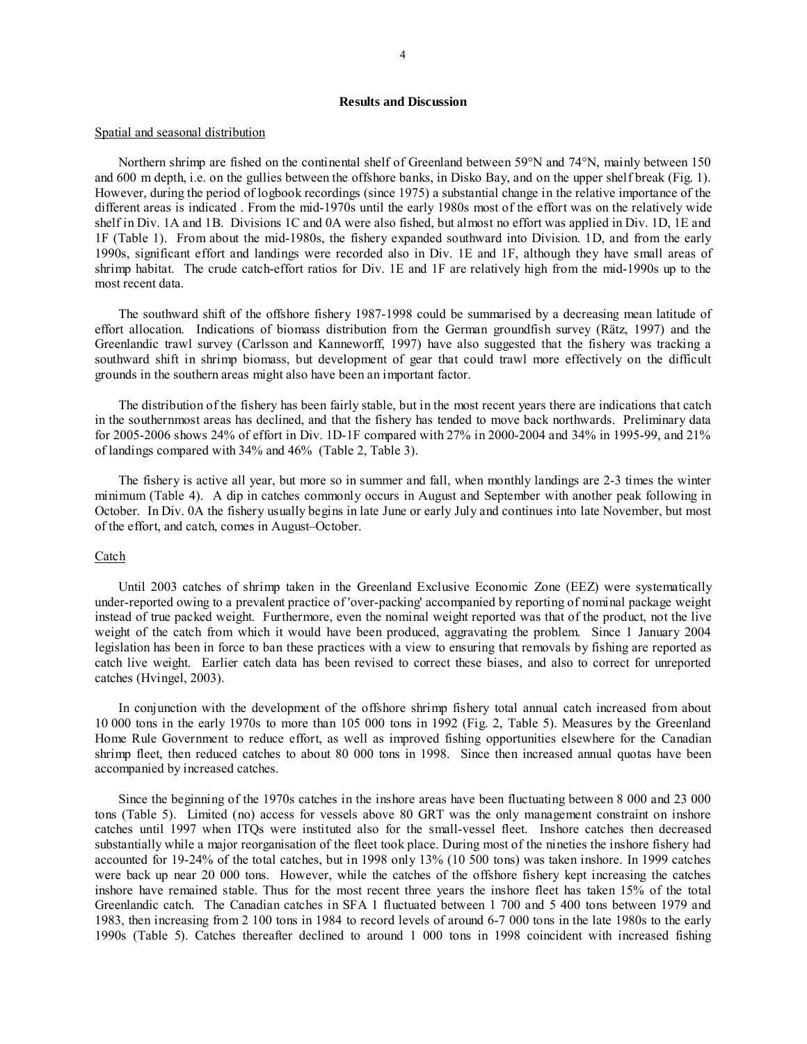## **Results and Discussion**

#### Spatial and seasonal distribution

Northern shrimp are fished on the continental shelf of Greenland between 59°N and 74°N, mainly between 150 and 600 m depth, i.e. on the gullies between the offshore banks, in Disko Bay, and on the upper shelf break (Fig. 1). However, during the period of logbook recordings (since 1975) a substantial change in the relative importance of the different areas is indicated . From the mid-1970s until the early 1980s most of the effort was on the relatively wide shelf in Div. 1A and 1B. Divisions 1C and 0A were also fished, but almost no effort was applied in Div. 1D, 1E and 1F (Table 1). From about the mid-1980s, the fishery expanded southward into Division. 1D, and from the early 1990s, significant effort and landings were recorded also in Div. 1E and 1F, although they have small areas of shrimp habitat. The crude catch-effort ratios for Div. 1E and 1F are relatively high from the mid-1990s up to the most recent data.

The southward shift of the offshore fishery 1987-1998 could be summarised by a decreasing mean latitude of effort allocation. Indications of biomass distribution from the German groundfish survey (Rätz, 1997) and the Greenlandic trawl survey (Carlsson and Kanneworff, 1997) have also suggested that the fishery was tracking a southward shift in shrimp biomass, but development of gear that could trawl more effectively on the difficult grounds in the southern areas might also have been an important factor.

The distribution of the fishery has been fairly stable, but in the most recent years there are indications that catch in the southernmost areas has declined, and that the fishery has tended to move back northwards. Preliminary data for 2005-2006 shows 24% of effort in Div. 1D-1F compared with 27% in 2000-2004 and 34% in 1995-99, and 21% of landings compared with 34% and 46% (Table 2, Table 3).

The fishery is active all year, but more so in summer and fall, when monthly landings are 2-3 times the winter minimum (Table 4). A dip in catches commonly occurs in August and September with another peak following in October. In Div. 0A the fishery usually begins in late June or early July and continues into late November, but most of the effort, and catch, comes in August–October.

## Catch

Until 2003 catches of shrimp taken in the Greenland Exclusive Economic Zone (EEZ) were systematically under-reported owing to a prevalent practice of 'over-packing' accompanied by reporting of nominal package weight instead of true packed weight. Furthermore, even the nominal weight reported was that of the product, not the live weight of the catch from which it would have been produced, aggravating the problem. Since 1 January 2004 legislation has been in force to ban these practices with a view to ensuring that removals by fishing are reported as catch live weight. Earlier catch data has been revised to correct these biases, and also to correct for unreported catches (Hvingel, 2003).

In conjunction with the development of the offshore shrimp fishery total annual catch increased from about 10 000 tons in the early 1970s to more than 105 000 tons in 1992 (Fig. 2, Table 5). Measures by the Greenland Home Rule Government to reduce effort, as well as improved fishing opportunities elsewhere for the Canadian shrimp fleet, then reduced catches to about 80 000 tons in 1998. Since then increased annual quotas have been accompanied by increased catches.

Since the beginning of the 1970s catches in the inshore areas have been fluctuating between 8 000 and 23 000 tons (Table 5). Limited (no) access for vessels above 80 GRT was the only management constraint on inshore catches until 1997 when ITQs were instituted also for the small-vessel fleet. Inshore catches then decreased substantially while a major reorganisation of the fleet took place. During most of the nineties the inshore fishery had accounted for 19-24% of the total catches, but in 1998 only 13% (10 500 tons) was taken inshore. In 1999 catches were back up near 20 000 tons. However, while the catches of the offshore fishery kept increasing the catches inshore have remained stable. Thus for the most recent three years the inshore fleet has taken 15% of the total Greenlandic catch. The Canadian catches in SFA 1 fluctuated between 1 700 and 5 400 tons between 1979 and 1983, then increasing from 2 100 tons in 1984 to record levels of around 6-7 000 tons in the late 1980s to the early 1990s (Table 5). Catches thereafter declined to around 1 000 tons in 1998 coincident with increased fishing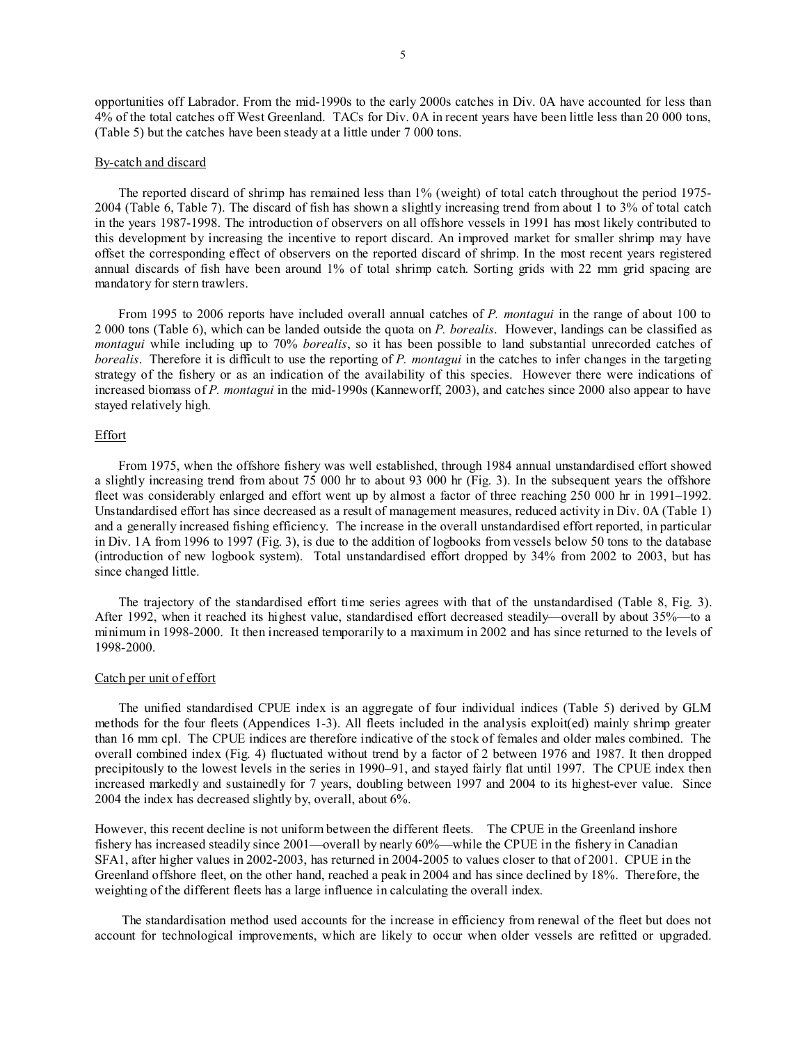opportunities off Labrador. From the mid-1990s to the early 2000s catches in Div. 0A have accounted for less than 4% of the total catches off West Greenland. TACs for Div. 0A in recent years have been little less than 20 000 tons, (Table 5) but the catches have been steady at a little under 7 000 tons.

#### By-catch and discard

The reported discard of shrimp has remained less than 1% (weight) of total catch throughout the period 1975- 2004 (Table 6, Table 7). The discard of fish has shown a slightly increasing trend from about 1 to 3% of total catch in the years 1987-1998. The introduction of observers on all offshore vessels in 1991 has most likely contributed to this development by increasing the incentive to report discard. An improved market for smaller shrimp may have offset the corresponding effect of observers on the reported discard of shrimp. In the most recent years registered annual discards of fish have been around 1% of total shrimp catch. Sorting grids with 22 mm grid spacing are mandatory for stern trawlers.

From 1995 to 2006 reports have included overall annual catches of *P. montagui* in the range of about 100 to 2 000 tons (Table 6), which can be landed outside the quota on *P. borealis*. However, landings can be classified as *montagui* while including up to 70% *borealis*, so it has been possible to land substantial unrecorded catches of *borealis*. Therefore it is difficult to use the reporting of *P. montagui* in the catches to infer changes in the targeting strategy of the fishery or as an indication of the availability of this species. However there were indications of increased biomass of *P. montagui* in the mid-1990s (Kanneworff, 2003), and catches since 2000 also appear to have stayed relatively high.

### Effort

From 1975, when the offshore fishery was well established, through 1984 annual unstandardised effort showed a slightly increasing trend from about 75 000 hr to about 93 000 hr (Fig. 3). In the subsequent years the offshore fleet was considerably enlarged and effort went up by almost a factor of three reaching 250 000 hr in 1991–1992. Unstandardised effort has since decreased as a result of management measures, reduced activity in Div. 0A (Table 1) and a generally increased fishing efficiency. The increase in the overall unstandardised effort reported, in particular in Div. 1A from 1996 to 1997 (Fig. 3), is due to the addition of logbooks from vessels below 50 tons to the database (introduction of new logbook system). Total unstandardised effort dropped by 34% from 2002 to 2003, but has since changed little.

The trajectory of the standardised effort time series agrees with that of the unstandardised (Table 8, Fig. 3). After 1992, when it reached its highest value, standardised effort decreased steadily—overall by about 35%—to a minimum in 1998-2000. It then increased temporarily to a maximum in 2002 and has since returned to the levels of 1998-2000.

### Catch per unit of effort

The unified standardised CPUE index is an aggregate of four individual indices (Table 5) derived by GLM methods for the four fleets (Appendices 1-3). All fleets included in the analysis exploit(ed) mainly shrimp greater than 16 mm cpl. The CPUE indices are therefore indicative of the stock of females and older males combined. The overall combined index (Fig. 4) fluctuated without trend by a factor of 2 between 1976 and 1987. It then dropped precipitously to the lowest levels in the series in 1990–91, and stayed fairly flat until 1997. The CPUE index then increased markedly and sustainedly for 7 years, doubling between 1997 and 2004 to its highest-ever value. Since 2004 the index has decreased slightly by, overall, about 6%.

However, this recent decline is not uniform between the different fleets. The CPUE in the Greenland inshore fishery has increased steadily since 2001—overall by nearly 60%—while the CPUE in the fishery in Canadian SFA1, after higher values in 2002-2003, has returned in 2004-2005 to values closer to that of 2001. CPUE in the Greenland offshore fleet, on the other hand, reached a peak in 2004 and has since declined by 18%. Therefore, the weighting of the different fleets has a large influence in calculating the overall index.

 The standardisation method used accounts for the increase in efficiency from renewal of the fleet but does not account for technological improvements, which are likely to occur when older vessels are refitted or upgraded.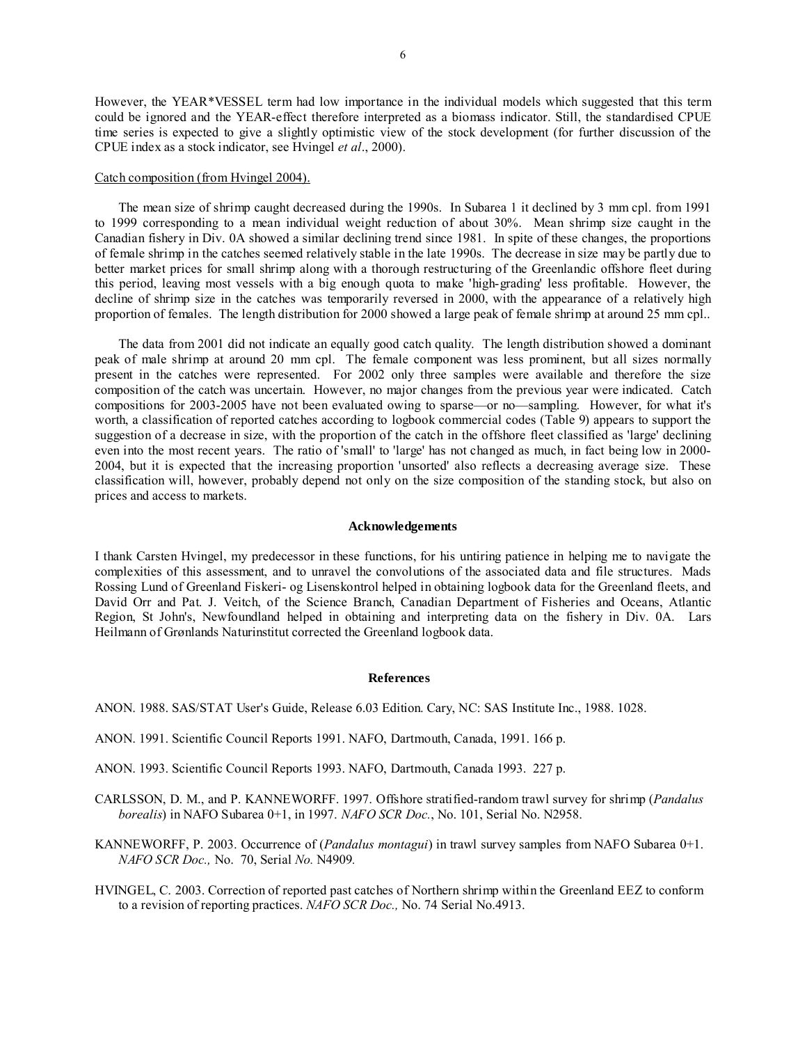However, the YEAR\*VESSEL term had low importance in the individual models which suggested that this term could be ignored and the YEAR-effect therefore interpreted as a biomass indicator. Still, the standardised CPUE time series is expected to give a slightly optimistic view of the stock development (for further discussion of the CPUE index as a stock indicator, see Hvingel *et al*., 2000).

#### Catch composition (from Hvingel 2004).

The mean size of shrimp caught decreased during the 1990s. In Subarea 1 it declined by 3 mm cpl. from 1991 to 1999 corresponding to a mean individual weight reduction of about 30%. Mean shrimp size caught in the Canadian fishery in Div. 0A showed a similar declining trend since 1981. In spite of these changes, the proportions of female shrimp in the catches seemed relatively stable in the late 1990s. The decrease in size may be partly due to better market prices for small shrimp along with a thorough restructuring of the Greenlandic offshore fleet during this period, leaving most vessels with a big enough quota to make 'high-grading' less profitable. However, the decline of shrimp size in the catches was temporarily reversed in 2000, with the appearance of a relatively high proportion of females. The length distribution for 2000 showed a large peak of female shrimp at around 25 mm cpl..

The data from 2001 did not indicate an equally good catch quality. The length distribution showed a dominant peak of male shrimp at around 20 mm cpl. The female component was less prominent, but all sizes normally present in the catches were represented. For 2002 only three samples were available and therefore the size composition of the catch was uncertain. However, no major changes from the previous year were indicated. Catch compositions for 2003-2005 have not been evaluated owing to sparse—or no—sampling. However, for what it's worth, a classification of reported catches according to logbook commercial codes (Table 9) appears to support the suggestion of a decrease in size, with the proportion of the catch in the offshore fleet classified as 'large' declining even into the most recent years. The ratio of 'small' to 'large' has not changed as much, in fact being low in 2000- 2004, but it is expected that the increasing proportion 'unsorted' also reflects a decreasing average size. These classification will, however, probably depend not only on the size composition of the standing stock, but also on prices and access to markets.

## **Acknowledgements**

I thank Carsten Hvingel, my predecessor in these functions, for his untiring patience in helping me to navigate the complexities of this assessment, and to unravel the convolutions of the associated data and file structures. Mads Rossing Lund of Greenland Fiskeri- og Lisenskontrol helped in obtaining logbook data for the Greenland fleets, and David Orr and Pat. J. Veitch, of the Science Branch, Canadian Department of Fisheries and Oceans, Atlantic Region, St John's, Newfoundland helped in obtaining and interpreting data on the fishery in Div. 0A. Lars Heilmann of Grønlands Naturinstitut corrected the Greenland logbook data.

#### **References**

- ANON. 1988. SAS/STAT User's Guide, Release 6.03 Edition. Cary, NC: SAS Institute Inc., 1988. 1028.
- ANON. 1991. Scientific Council Reports 1991. NAFO, Dartmouth, Canada, 1991. 166 p.
- ANON. 1993. Scientific Council Reports 1993. NAFO, Dartmouth, Canada 1993. 227 p.
- CARLSSON, D. M., and P. KANNEWORFF. 1997. Offshore stratified-random trawl survey for shrimp (*Pandalus borealis*) in NAFO Subarea 0+1, in 1997. *NAFO SCR Doc.*, No. 101, Serial No. N2958.
- KANNEWORFF, P. 2003. Occurrence of (*Pandalus montagui*) in trawl survey samples from NAFO Subarea 0+1. *NAFO SCR Doc.,* No. 70, Serial *No.* N4909*.*
- HVINGEL, C. 2003. Correction of reported past catches of Northern shrimp within the Greenland EEZ to conform to a revision of reporting practices. *NAFO SCR Doc.,* No. 74 Serial No.4913.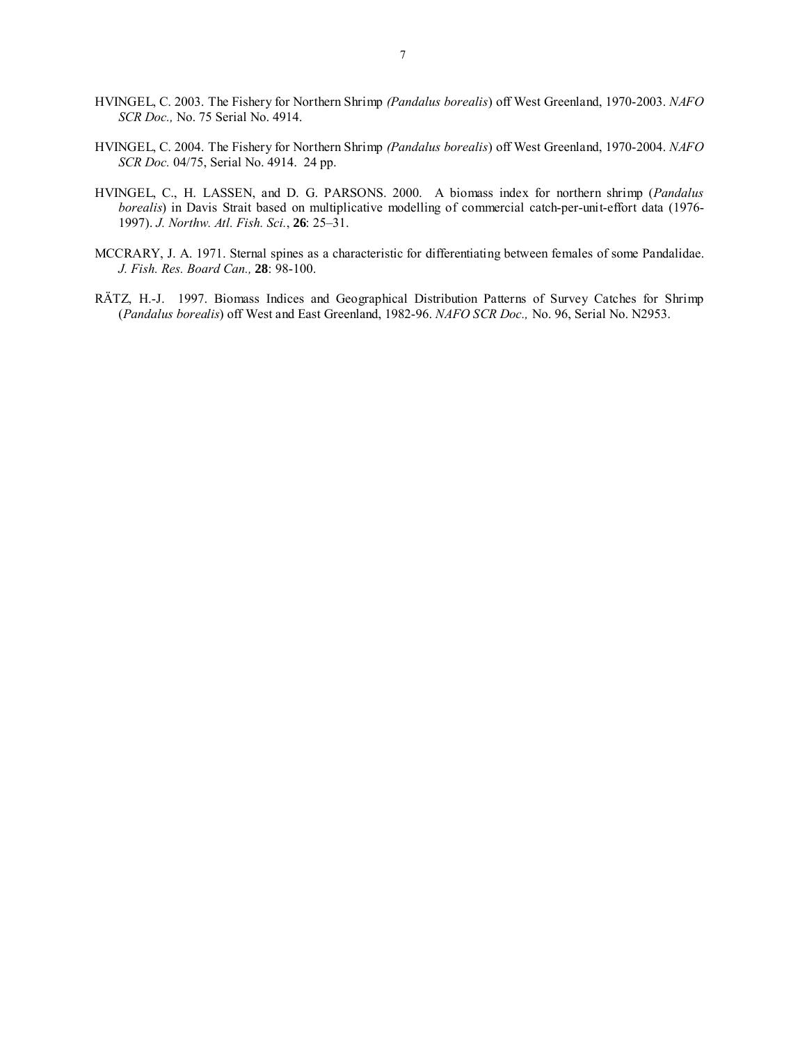- HVINGEL, C. 2003. The Fishery for Northern Shrimp *(Pandalus borealis*) off West Greenland, 1970-2003. *NAFO SCR Doc.,* No. 75 Serial No. 4914.
- HVINGEL, C. 2004. The Fishery for Northern Shrimp *(Pandalus borealis*) off West Greenland, 1970-2004. *NAFO SCR Doc.* 04/75, Serial No. 4914. 24 pp.
- HVINGEL, C., H. LASSEN, and D. G. PARSONS. 2000. A biomass index for northern shrimp (*Pandalus borealis*) in Davis Strait based on multiplicative modelling of commercial catch-per-unit-effort data (1976- 1997). *J. Northw. Atl. Fish. Sci.*, **26**: 25–31.
- MCCRARY, J. A. 1971. Sternal spines as a characteristic for differentiating between females of some Pandalidae. *J. Fish. Res. Board Can.,* **28**: 98-100.
- RÄTZ, H.-J. 1997. Biomass Indices and Geographical Distribution Patterns of Survey Catches for Shrimp (*Pandalus borealis*) off West and East Greenland, 1982-96. *NAFO SCR Doc.,* No. 96, Serial No. N2953.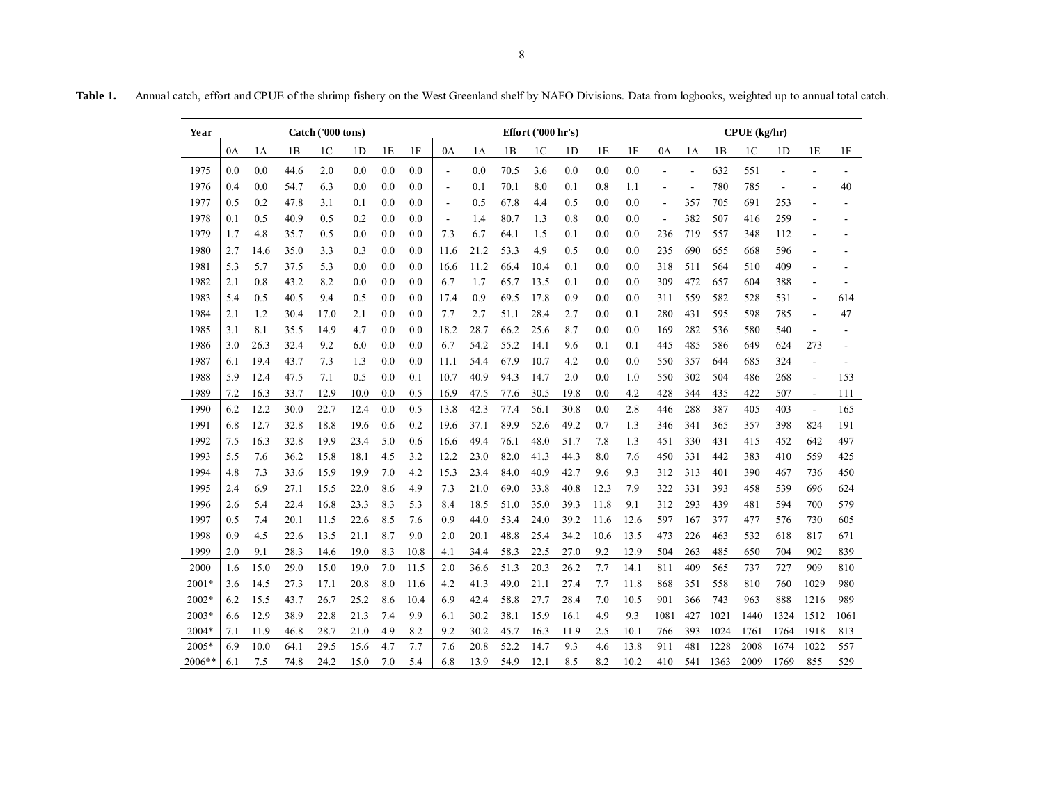| <b>Table 1</b> | Annual catch, effort and CPUE of the shrimp fishery on the West Greenland shelf by NAFO Divisions. Data from logbooks, weighted up to annual total catch. |
|----------------|-----------------------------------------------------------------------------------------------------------------------------------------------------------|
|                |                                                                                                                                                           |

| Year    | Catch ('000 tons) |      |      |                |                | Effort ('000 hr's) |      |                          |      |      |                | CPUE (kg/hr)   |          |      |      |                          |      |                |                |                |                |
|---------|-------------------|------|------|----------------|----------------|--------------------|------|--------------------------|------|------|----------------|----------------|----------|------|------|--------------------------|------|----------------|----------------|----------------|----------------|
|         | 0A                | 1А   | 1B   | 1 <sup>C</sup> | 1 <sub>D</sub> | 1E                 | 1F   | 0A                       | 1A   | 1B   | 1 <sup>C</sup> | 1 <sub>D</sub> | 1E       | 1F   | 0A   | 1A                       | 1B   | 1 <sup>C</sup> | 1 <sub>D</sub> | 1E             | $1\mathrm{F}$  |
| 1975    | 0.0               | 0.0  | 44.6 | 2.0            | 0.0            | 0.0                | 0.0  | $\overline{\phantom{a}}$ | 0.0  | 70.5 | 3.6            | 0.0            | 0.0      | 0.0  | L,   | $\overline{a}$           | 632  | 551            | $\overline{a}$ |                |                |
| 1976    | 0.4               | 0.0  | 54.7 | 6.3            | 0.0            | 0.0                | 0.0  | $\overline{\phantom{a}}$ | 0.1  | 70.1 | 8.0            | 0.1            | 0.8      | 1.1  |      | $\overline{\phantom{a}}$ | 780  | 785            | $\overline{a}$ |                | 40             |
| 1977    | 0.5               | 0.2  | 47.8 | 3.1            | 0.1            | 0.0                | 0.0  | $\overline{a}$           | 0.5  | 67.8 | 4.4            | 0.5            | 0.0      | 0.0  | L,   | 357                      | 705  | 691            | 253            | L,             |                |
| 1978    | 0.1               | 0.5  | 40.9 | 0.5            | 0.2            | 0.0                | 0.0  | $\overline{a}$           | 1.4  | 80.7 | 1.3            | 0.8            | 0.0      | 0.0  | ÷,   | 382                      | 507  | 416            | 259            |                |                |
| 1979    | 1.7               | 4.8  | 35.7 | 0.5            | $_{0.0}$       | 0.0                | 0.0  | 7.3                      | 6.7  | 64.1 | 1.5            | 0.1            | $_{0.0}$ | 0.0  | 236  | 719                      | 557  | 348            | 112            | $\blacksquare$ | $\blacksquare$ |
| 1980    | 2.7               | 14.6 | 35.0 | 3.3            | 0.3            | 0.0                | 0.0  | 11.6                     | 21.2 | 53.3 | 4.9            | 0.5            | 0.0      | 0.0  | 235  | 690                      | 655  | 668            | 596            |                |                |
| 1981    | 5.3               | 5.7  | 37.5 | 5.3            | 0.0            | 0.0                | 0.0  | 16.6                     | 11.2 | 66.4 | 10.4           | 0.1            | 0.0      | 0.0  | 318  | 511                      | 564  | 510            | 409            |                |                |
| 1982    | 2.1               | 0.8  | 43.2 | 8.2            | 0.0            | 0.0                | 0.0  | 6.7                      | 1.7  | 65.7 | 13.5           | 0.1            | $_{0.0}$ | 0.0  | 309  | 472                      | 657  | 604            | 388            |                |                |
| 1983    | 5.4               | 0.5  | 40.5 | 9.4            | 0.5            | 0.0                | 0.0  | 17.4                     | 0.9  | 69.5 | 17.8           | 0.9            | $_{0.0}$ | 0.0  | 311  | 559                      | 582  | 528            | 531            | $\overline{a}$ | 614            |
| 1984    | 2.1               | 1.2  | 30.4 | 17.0           | 2.1            | 0.0                | 0.0  | 7.7                      | 2.7  | 51.1 | 28.4           | 2.7            | 0.0      | 0.1  | 280  | 431                      | 595  | 598            | 785            | $\overline{a}$ | 47             |
| 1985    | 3.1               | 8.1  | 35.5 | 14.9           | 4.7            | 0.0                | 0.0  | 18.2                     | 28.7 | 66.2 | 25.6           | 8.7            | 0.0      | 0.0  | 169  | 282                      | 536  | 580            | 540            | $\overline{a}$ |                |
| 1986    | 3.0               | 26.3 | 32.4 | 9.2            | 6.0            | 0.0                | 0.0  | 6.7                      | 54.2 | 55.2 | 14.1           | 9.6            | 0.1      | 0.1  | 445  | 485                      | 586  | 649            | 624            | 273            |                |
| 1987    | 6.1               | 19.4 | 43.7 | 7.3            | 1.3            | 0.0                | 0.0  | 11.1                     | 54.4 | 67.9 | 10.7           | 4.2            | 0.0      | 0.0  | 550  | 357                      | 644  | 685            | 324            | $\overline{a}$ |                |
| 1988    | 5.9               | 12.4 | 47.5 | 7.1            | 0.5            | 0.0                | 0.1  | 10.7                     | 40.9 | 94.3 | 14.7           | 2.0            | 0.0      | 1.0  | 550  | 302                      | 504  | 486            | 268            | $\overline{a}$ | 153            |
| 1989    | 7.2               | 16.3 | 33.7 | 12.9           | 10.0           | 0.0                | 0.5  | 16.9                     | 47.5 | 77.6 | 30.5           | 19.8           | $_{0.0}$ | 4.2  | 428  | 344                      | 435  | 422            | 507            | $\blacksquare$ | 111            |
| 1990    | 6.2               | 12.2 | 30.0 | 22.7           | 12.4           | 0.0                | 0.5  | 13.8                     | 42.3 | 77.4 | 56.1           | 30.8           | $_{0.0}$ | 2.8  | 446  | 288                      | 387  | 405            | 403            | $\blacksquare$ | 165            |
| 1991    | 6.8               | 12.7 | 32.8 | 18.8           | 19.6           | 0.6                | 0.2  | 19.6                     | 37.1 | 89.9 | 52.6           | 49.2           | 0.7      | 1.3  | 346  | 341                      | 365  | 357            | 398            | 824            | 191            |
| 1992    | 7.5               | 16.3 | 32.8 | 19.9           | 23.4           | 5.0                | 0.6  | 16.6                     | 49.4 | 76.1 | 48.0           | 51.7           | 7.8      | 1.3  | 451  | 330                      | 431  | 415            | 452            | 642            | 497            |
| 1993    | 5.5               | 7.6  | 36.2 | 15.8           | 18.1           | 4.5                | 3.2  | 12.2                     | 23.0 | 82.0 | 41.3           | 44.3           | 8.0      | 7.6  | 450  | 331                      | 442  | 383            | 410            | 559            | 425            |
| 1994    | 4.8               | 7.3  | 33.6 | 15.9           | 19.9           | 7.0                | 4.2  | 15.3                     | 23.4 | 84.0 | 40.9           | 42.7           | 9.6      | 9.3  | 312  | 313                      | 401  | 390            | 467            | 736            | 450            |
| 1995    | 2.4               | 6.9  | 27.1 | 15.5           | 22.0           | 8.6                | 4.9  | 7.3                      | 21.0 | 69.0 | 33.8           | 40.8           | 12.3     | 7.9  | 322  | 331                      | 393  | 458            | 539            | 696            | 624            |
| 1996    | 2.6               | 5.4  | 22.4 | 16.8           | 23.3           | 8.3                | 5.3  | 8.4                      | 18.5 | 51.0 | 35.0           | 39.3           | 11.8     | 9.1  | 312  | 293                      | 439  | 481            | 594            | 700            | 579            |
| 1997    | 0.5               | 7.4  | 20.1 | 11.5           | 22.6           | 8.5                | 7.6  | 0.9                      | 44.0 | 53.4 | 24.0           | 39.2           | 11.6     | 12.6 | 597  | 167                      | 377  | 477            | 576            | 730            | 605            |
| 1998    | 0.9               | 4.5  | 22.6 | 13.5           | 21.1           | 8.7                | 9.0  | 2.0                      | 20.1 | 48.8 | 25.4           | 34.2           | 10.6     | 13.5 | 473  | 226                      | 463  | 532            | 618            | 817            | 671            |
| 1999    | 2.0               | 9.1  | 28.3 | 14.6           | 19.0           | 8.3                | 10.8 | 4.1                      | 34.4 | 58.3 | 22.5           | 27.0           | 9.2      | 12.9 | 504  | 263                      | 485  | 650            | 704            | 902            | 839            |
| 2000    | 1.6               | 15.0 | 29.0 | 15.0           | 19.0           | 7.0                | 11.5 | 2.0                      | 36.6 | 51.3 | 20.3           | 26.2           | 7.7      | 14.1 | 811  | 409                      | 565  | 737            | 727            | 909            | 810            |
| $2001*$ | 3.6               | 14.5 | 27.3 | 17.1           | 20.8           | 8.0                | 11.6 | 4.2                      | 41.3 | 49.0 | 21.1           | 27.4           | 7.7      | 11.8 | 868  | 351                      | 558  | 810            | 760            | 1029           | 980            |
| 2002*   | 6.2               | 15.5 | 43.7 | 26.7           | 25.2           | 8.6                | 10.4 | 6.9                      | 42.4 | 58.8 | 27.7           | 28.4           | 7.0      | 10.5 | 901  | 366                      | 743  | 963            | 888            | 1216           | 989            |
| $2003*$ | 6.6               | 12.9 | 38.9 | 22.8           | 21.3           | 7.4                | 9.9  | 6.1                      | 30.2 | 38.1 | 15.9           | 16.1           | 4.9      | 9.3  | 1081 | 427                      | 1021 | 1440           | 1324           | 1512           | 1061           |
| 2004*   | 7.1               | 11.9 | 46.8 | 28.7           | 21.0           | 4.9                | 8.2  | 9.2                      | 30.2 | 45.7 | 16.3           | 11.9           | 2.5      | 10.1 | 766  | 393                      | 1024 | 1761           | 1764           | 1918           | 813            |
| 2005*   | 6.9               | 10.0 | 64.1 | 29.5           | 15.6           | 4.7                | 7.7  | 7.6                      | 20.8 | 52.2 | 14.7           | 9.3            | 4.6      | 13.8 | 911  | 481                      | 1228 | 2008           | 1674           | 1022           | 557            |
| 2006**  | 6.1               | 7.5  | 74.8 | 24.2           | 15.0           | 7.0                | 5.4  | 6.8                      | 13.9 | 54.9 | 12.1           | 8.5            | 8.2      | 10.2 | 410  | 541                      | 1363 | 2009           | 1769           | 855            | 529            |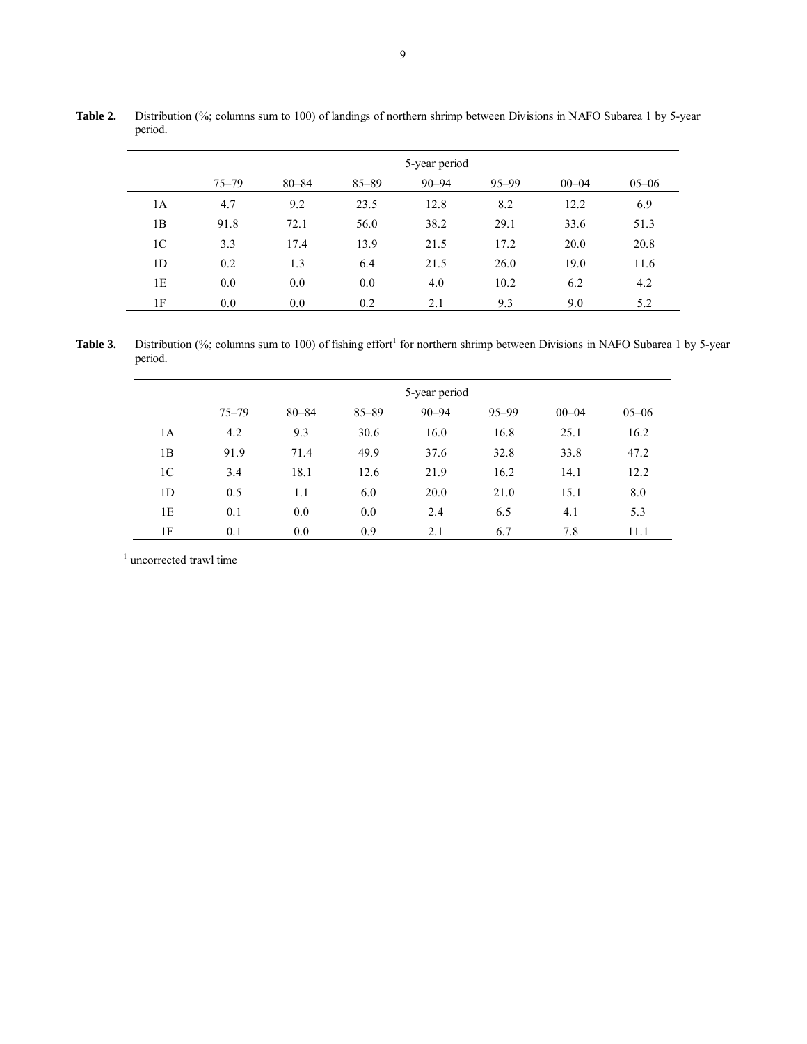|                |           |           |           | 5-year period |           |           |           |
|----------------|-----------|-----------|-----------|---------------|-----------|-----------|-----------|
|                | $75 - 79$ | $80 - 84$ | $85 - 89$ | $90 - 94$     | $95 - 99$ | $00 - 04$ | $05 - 06$ |
| 1A             | 4.7       | 9.2       | 23.5      | 12.8          | 8.2       | 12.2      | 6.9       |
| 1B             | 91.8      | 72.1      | 56.0      | 38.2          | 29.1      | 33.6      | 51.3      |
| 1 <sup>C</sup> | 3.3       | 17.4      | 13.9      | 21.5          | 17.2      | 20.0      | 20.8      |
| 1D             | 0.2       | 1.3       | 6.4       | 21.5          | 26.0      | 19.0      | 11.6      |
| 1E             | 0.0       | 0.0       | 0.0       | 4.0           | 10.2      | 6.2       | 4.2       |
| 1F             | 0.0       | 0.0       | 0.2       | 2.1           | 9.3       | 9.0       | 5.2       |

**Table 2.** Distribution (%; columns sum to 100) of landings of northern shrimp between Divisions in NAFO Subarea 1 by 5-year period.

Table 3. Distribution (%; columns sum to 100) of fishing effort<sup>1</sup> for northern shrimp between Divisions in NAFO Subarea 1 by 5-year period.

|                |           |           |           | 5-year period |           |           |           |
|----------------|-----------|-----------|-----------|---------------|-----------|-----------|-----------|
|                | $75 - 79$ | $80 - 84$ | $85 - 89$ | $90 - 94$     | $95 - 99$ | $00 - 04$ | $05 - 06$ |
| 1A             | 4.2       | 9.3       | 30.6      | 16.0          | 16.8      | 25.1      | 16.2      |
| 1B             | 91.9      | 71.4      | 49.9      | 37.6          | 32.8      | 33.8      | 47.2      |
| 1 <sup>C</sup> | 3.4       | 18.1      | 12.6      | 21.9          | 16.2      | 14.1      | 12.2      |
| 1D             | 0.5       | 1.1       | 6.0       | 20.0          | 21.0      | 15.1      | 8.0       |
| 1E             | 0.1       | 0.0       | 0.0       | 2.4           | 6.5       | 4.1       | 5.3       |
| 1F             | 0.1       | 0.0       | 0.9       | 2.1           | 6.7       | 7.8       | 11.1      |

<sup>1</sup> uncorrected trawl time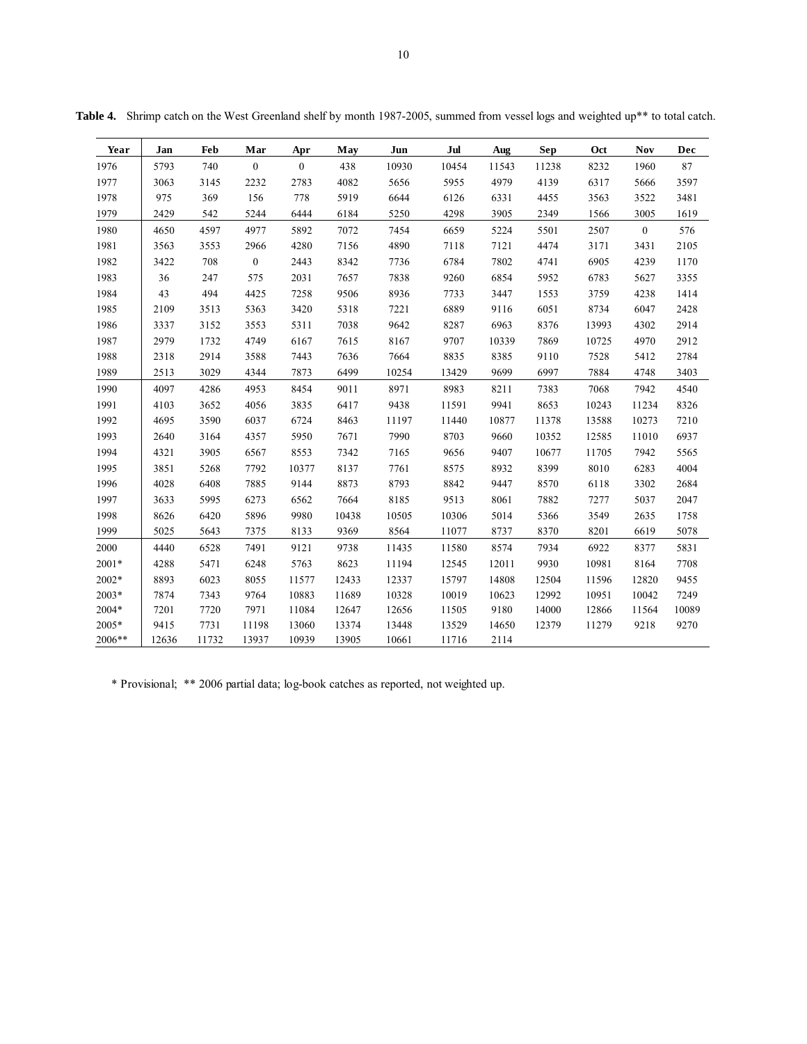| Year    | Jan   | Feb   | Mar              | Apr              | May   | Jun   | Jul   | Aug   | Sep   | <b>Oct</b> | <b>Nov</b>       | Dec   |
|---------|-------|-------|------------------|------------------|-------|-------|-------|-------|-------|------------|------------------|-------|
| 1976    | 5793  | 740   | $\boldsymbol{0}$ | $\boldsymbol{0}$ | 438   | 10930 | 10454 | 11543 | 11238 | 8232       | 1960             | 87    |
| 1977    | 3063  | 3145  | 2232             | 2783             | 4082  | 5656  | 5955  | 4979  | 4139  | 6317       | 5666             | 3597  |
| 1978    | 975   | 369   | 156              | 778              | 5919  | 6644  | 6126  | 6331  | 4455  | 3563       | 3522             | 3481  |
| 1979    | 2429  | 542   | 5244             | 6444             | 6184  | 5250  | 4298  | 3905  | 2349  | 1566       | 3005             | 1619  |
| 1980    | 4650  | 4597  | 4977             | 5892             | 7072  | 7454  | 6659  | 5224  | 5501  | 2507       | $\boldsymbol{0}$ | 576   |
| 1981    | 3563  | 3553  | 2966             | 4280             | 7156  | 4890  | 7118  | 7121  | 4474  | 3171       | 3431             | 2105  |
| 1982    | 3422  | 708   | $\boldsymbol{0}$ | 2443             | 8342  | 7736  | 6784  | 7802  | 4741  | 6905       | 4239             | 1170  |
| 1983    | 36    | 247   | 575              | 2031             | 7657  | 7838  | 9260  | 6854  | 5952  | 6783       | 5627             | 3355  |
| 1984    | 43    | 494   | 4425             | 7258             | 9506  | 8936  | 7733  | 3447  | 1553  | 3759       | 4238             | 1414  |
| 1985    | 2109  | 3513  | 5363             | 3420             | 5318  | 7221  | 6889  | 9116  | 6051  | 8734       | 6047             | 2428  |
| 1986    | 3337  | 3152  | 3553             | 5311             | 7038  | 9642  | 8287  | 6963  | 8376  | 13993      | 4302             | 2914  |
| 1987    | 2979  | 1732  | 4749             | 6167             | 7615  | 8167  | 9707  | 10339 | 7869  | 10725      | 4970             | 2912  |
| 1988    | 2318  | 2914  | 3588             | 7443             | 7636  | 7664  | 8835  | 8385  | 9110  | 7528       | 5412             | 2784  |
| 1989    | 2513  | 3029  | 4344             | 7873             | 6499  | 10254 | 13429 | 9699  | 6997  | 7884       | 4748             | 3403  |
| 1990    | 4097  | 4286  | 4953             | 8454             | 9011  | 8971  | 8983  | 8211  | 7383  | 7068       | 7942             | 4540  |
| 1991    | 4103  | 3652  | 4056             | 3835             | 6417  | 9438  | 11591 | 9941  | 8653  | 10243      | 11234            | 8326  |
| 1992    | 4695  | 3590  | 6037             | 6724             | 8463  | 11197 | 11440 | 10877 | 11378 | 13588      | 10273            | 7210  |
| 1993    | 2640  | 3164  | 4357             | 5950             | 7671  | 7990  | 8703  | 9660  | 10352 | 12585      | 11010            | 6937  |
| 1994    | 4321  | 3905  | 6567             | 8553             | 7342  | 7165  | 9656  | 9407  | 10677 | 11705      | 7942             | 5565  |
| 1995    | 3851  | 5268  | 7792             | 10377            | 8137  | 7761  | 8575  | 8932  | 8399  | 8010       | 6283             | 4004  |
| 1996    | 4028  | 6408  | 7885             | 9144             | 8873  | 8793  | 8842  | 9447  | 8570  | 6118       | 3302             | 2684  |
| 1997    | 3633  | 5995  | 6273             | 6562             | 7664  | 8185  | 9513  | 8061  | 7882  | 7277       | 5037             | 2047  |
| 1998    | 8626  | 6420  | 5896             | 9980             | 10438 | 10505 | 10306 | 5014  | 5366  | 3549       | 2635             | 1758  |
| 1999    | 5025  | 5643  | 7375             | 8133             | 9369  | 8564  | 11077 | 8737  | 8370  | 8201       | 6619             | 5078  |
| 2000    | 4440  | 6528  | 7491             | 9121             | 9738  | 11435 | 11580 | 8574  | 7934  | 6922       | 8377             | 5831  |
| 2001*   | 4288  | 5471  | 6248             | 5763             | 8623  | 11194 | 12545 | 12011 | 9930  | 10981      | 8164             | 7708  |
| $2002*$ | 8893  | 6023  | 8055             | 11577            | 12433 | 12337 | 15797 | 14808 | 12504 | 11596      | 12820            | 9455  |
| 2003*   | 7874  | 7343  | 9764             | 10883            | 11689 | 10328 | 10019 | 10623 | 12992 | 10951      | 10042            | 7249  |
| 2004*   | 7201  | 7720  | 7971             | 11084            | 12647 | 12656 | 11505 | 9180  | 14000 | 12866      | 11564            | 10089 |
| 2005*   | 9415  | 7731  | 11198            | 13060            | 13374 | 13448 | 13529 | 14650 | 12379 | 11279      | 9218             | 9270  |
| 2006**  | 12636 | 11732 | 13937            | 10939            | 13905 | 10661 | 11716 | 2114  |       |            |                  |       |

Table 4. Shrimp catch on the West Greenland shelf by month 1987-2005, summed from vessel logs and weighted up<sup>\*\*</sup> to total catch.

\* Provisional; \*\* 2006 partial data; log-book catches as reported, not weighted up.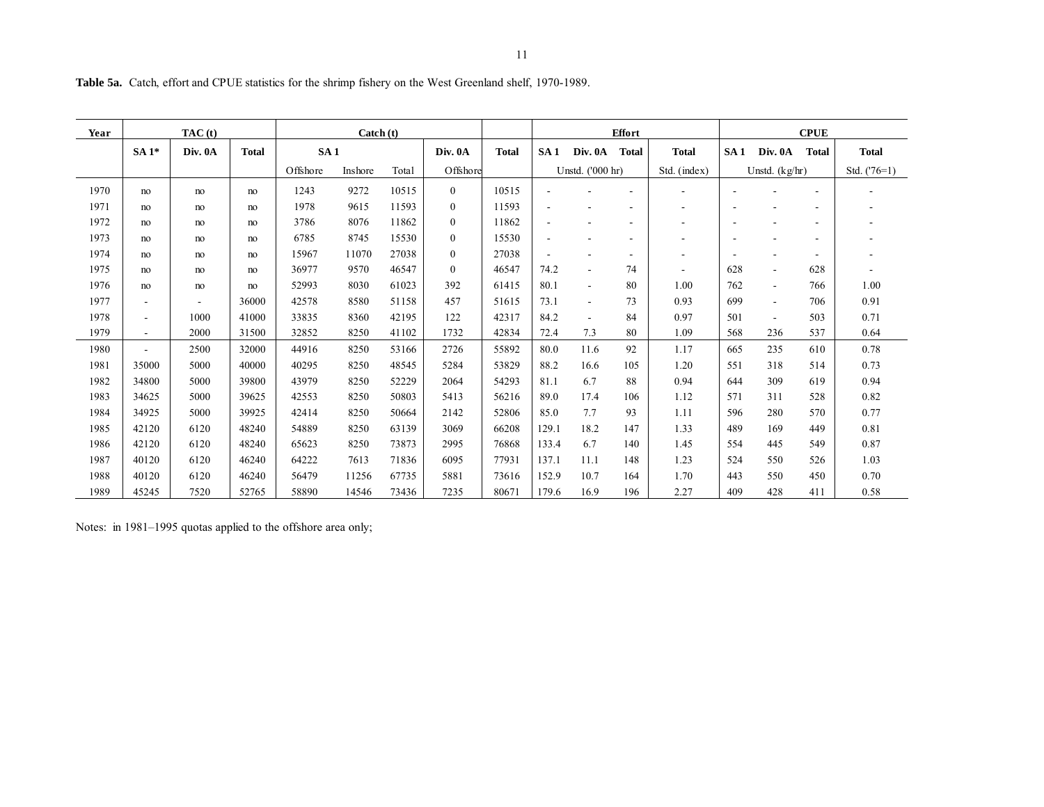| Year | TAC(t)                   |                |              |                 | $\text{ Catch } (t)$ |       |              |              | <b>Effort</b> |                  |                          |              | <b>CPUE</b> |                          |                |                          |
|------|--------------------------|----------------|--------------|-----------------|----------------------|-------|--------------|--------------|---------------|------------------|--------------------------|--------------|-------------|--------------------------|----------------|--------------------------|
|      | $SA1*$                   | Div. 0A        | <b>Total</b> | SA <sub>1</sub> |                      |       | Div. 0A      | <b>Total</b> | SA1           | Div. 0A          | <b>Total</b>             | <b>Total</b> | SA1         | Div. 0A                  | <b>Total</b>   | <b>Total</b>             |
|      |                          |                |              | Offshore        | Inshore              | Total | Offshore     |              |               | Unstd. ('000 hr) |                          | Std. (index) |             | Unstd. $(kg/hr)$         |                | Std. $('76=1)$           |
| 1970 | no                       | no             | no           | 1243            | 9272                 | 10515 | $\mathbf{0}$ | 10515        |               |                  |                          |              |             |                          | $\blacksquare$ |                          |
| 1971 | no                       | no             | no           | 1978            | 9615                 | 11593 | $\mathbf{0}$ | 11593        |               |                  |                          |              |             |                          | ۰              |                          |
| 1972 | no                       | no             | no           | 3786            | 8076                 | 11862 | $\mathbf{0}$ | 11862        |               |                  |                          |              | ۰           | $\overline{\phantom{a}}$ | ۰              | ۰                        |
| 1973 | no                       | no             | no           | 6785            | 8745                 | 15530 | $\mathbf{0}$ | 15530        |               |                  |                          |              | ۰           |                          | ۰              |                          |
| 1974 | no                       | no             | no           | 15967           | 11070                | 27038 | $\mathbf{0}$ | 27038        |               |                  | $\overline{\phantom{a}}$ |              | ٠           |                          | ۰              | $\overline{\phantom{a}}$ |
| 1975 | no                       | no             | no           | 36977           | 9570                 | 46547 | $\mathbf{0}$ | 46547        | 74.2          |                  | 74                       |              | 628         | $\blacksquare$           | 628            |                          |
| 1976 | no                       | no             | no           | 52993           | 8030                 | 61023 | 392          | 61415        | 80.1          | $\sim$           | 80                       | 1.00         | 762         | $\overline{\phantom{a}}$ | 766            | 1.00                     |
| 1977 | $\overline{\phantom{a}}$ | $\blacksquare$ | 36000        | 42578           | 8580                 | 51158 | 457          | 51615        | 73.1          | $\sim$           | 73                       | 0.93         | 699         | $\overline{\phantom{a}}$ | 706            | 0.91                     |
| 1978 | $\overline{\phantom{a}}$ | 1000           | 41000        | 33835           | 8360                 | 42195 | 122          | 42317        | 84.2          |                  | 84                       | 0.97         | 501         | $\overline{\phantom{a}}$ | 503            | 0.71                     |
| 1979 | $\overline{\phantom{a}}$ | 2000           | 31500        | 32852           | 8250                 | 41102 | 1732         | 42834        | 72.4          | 7.3              | 80                       | 1.09         | 568         | 236                      | 537            | 0.64                     |
| 1980 |                          | 2500           | 32000        | 44916           | 8250                 | 53166 | 2726         | 55892        | 80.0          | 11.6             | 92                       | 1.17         | 665         | 235                      | 610            | 0.78                     |
| 1981 | 35000                    | 5000           | 40000        | 40295           | 8250                 | 48545 | 5284         | 53829        | 88.2          | 16.6             | 105                      | 1.20         | 551         | 318                      | 514            | 0.73                     |
| 1982 | 34800                    | 5000           | 39800        | 43979           | 8250                 | 52229 | 2064         | 54293        | 81.1          | 6.7              | 88                       | 0.94         | 644         | 309                      | 619            | 0.94                     |
| 1983 | 34625                    | 5000           | 39625        | 42553           | 8250                 | 50803 | 5413         | 56216        | 89.0          | 17.4             | 106                      | 1.12         | 571         | 311                      | 528            | 0.82                     |
| 1984 | 34925                    | 5000           | 39925        | 42414           | 8250                 | 50664 | 2142         | 52806        | 85.0          | 7.7              | 93                       | 1.11         | 596         | 280                      | 570            | 0.77                     |
| 1985 | 42120                    | 6120           | 48240        | 54889           | 8250                 | 63139 | 3069         | 66208        | 129.1         | 18.2             | 147                      | 1.33         | 489         | 169                      | 449            | 0.81                     |
| 1986 | 42120                    | 6120           | 48240        | 65623           | 8250                 | 73873 | 2995         | 76868        | 133.4         | 6.7              | 140                      | 1.45         | 554         | 445                      | 549            | 0.87                     |

1987 | 40120 | 6120 | 46240 | 64222 | 7613 | 71836 | 6095 | 77931 | 137.1 | 11.1 | 148 | | 1.23 | 524 | 550 | 526 | | 1.03

1988 40120 6120 46240 56479 11256 67735 5881 73616 152.9 10.7 164 1.70 443 550 450 0.70

1989 45245 7520 52765 58890 14546 73436 7235 80671 179.6 16.9 196 2.27 409 428 411 0.58

1.03

0.70

0.58

**Table 5a.** Catch, effort and CPUE statistics for the shrimp fishery on the West Greenland shelf, 1970-1989.

Notes: in 1981–1995 quotas applied to the offshore area only;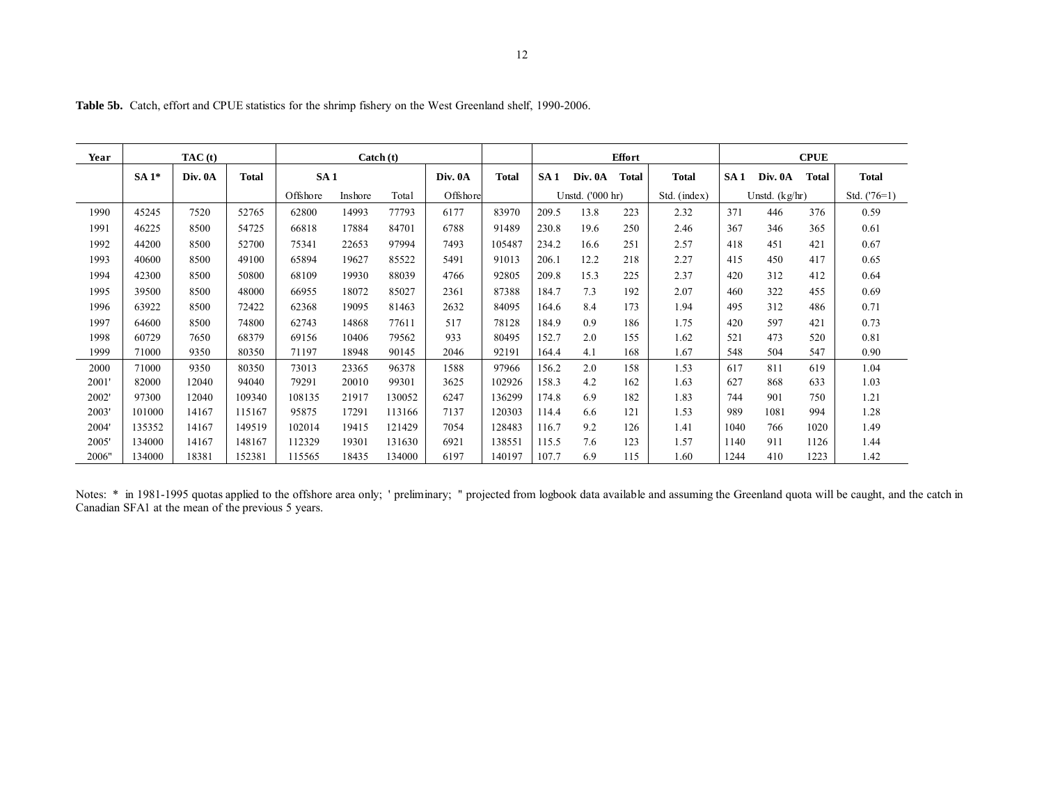| Year  | TAC(t) |         |              |                 | $\text{ Catch } (t)$ |        |          | <b>Effort</b> |                 |                  |              | <b>CPUE</b>  |      |                  |              |                |
|-------|--------|---------|--------------|-----------------|----------------------|--------|----------|---------------|-----------------|------------------|--------------|--------------|------|------------------|--------------|----------------|
|       | $SA1*$ | Div. 0A | <b>Total</b> | SA <sub>1</sub> |                      |        | Div. 0A  | Total         | SA <sub>1</sub> | Div. 0A          | <b>Total</b> | <b>Total</b> | SA1  | Div. 0A          | <b>Total</b> | Total          |
|       |        |         |              | Offshore        | Inshore              | Total  | Offshore |               |                 | Unstd. ('000 hr) |              | Std. (index) |      | Unstd. $(kg/hr)$ |              | Std. $('76=1)$ |
| 1990  | 45245  | 7520    | 52765        | 62800           | 14993                | 77793  | 6177     | 83970         | 209.5           | 13.8             | 223          | 2.32         | 371  | 446              | 376          | 0.59           |
| 1991  | 46225  | 8500    | 54725        | 66818           | 17884                | 84701  | 6788     | 91489         | 230.8           | 19.6             | 250          | 2.46         | 367  | 346              | 365          | 0.61           |
| 1992  | 44200  | 8500    | 52700        | 75341           | 22653                | 97994  | 7493     | 105487        | 234.2           | 16.6             | 251          | 2.57         | 418  | 451              | 421          | 0.67           |
| 1993  | 40600  | 8500    | 49100        | 65894           | 19627                | 85522  | 5491     | 91013         | 206.1           | 12.2             | 218          | 2.27         | 415  | 450              | 417          | 0.65           |
| 1994  | 42300  | 8500    | 50800        | 68109           | 19930                | 88039  | 4766     | 92805         | 209.8           | 15.3             | 225          | 2.37         | 420  | 312              | 412          | 0.64           |
| 1995  | 39500  | 8500    | 48000        | 66955           | 18072                | 85027  | 2361     | 87388         | 184.7           | 7.3              | 192          | 2.07         | 460  | 322              | 455          | 0.69           |
| 1996  | 63922  | 8500    | 72422        | 62368           | 19095                | 81463  | 2632     | 84095         | 164.6           | 8.4              | 173          | 1.94         | 495  | 312              | 486          | 0.71           |
| 1997  | 64600  | 8500    | 74800        | 62743           | 14868                | 77611  | 517      | 78128         | 184.9           | 0.9              | 186          | 1.75         | 420  | 597              | 421          | 0.73           |
| 1998  | 60729  | 7650    | 68379        | 69156           | 10406                | 79562  | 933      | 80495         | 152.7           | 2.0              | 155          | 1.62         | 521  | 473              | 520          | 0.81           |
| 1999  | 71000  | 9350    | 80350        | 71197           | 18948                | 90145  | 2046     | 92191         | 164.4           | 4.1              | 168          | 1.67         | 548  | 504              | 547          | 0.90           |
| 2000  | 71000  | 9350    | 80350        | 73013           | 23365                | 96378  | 1588     | 97966         | 156.2           | 2.0              | 158          | 1.53         | 617  | 811              | 619          | 1.04           |
| 2001' | 82000  | 12040   | 94040        | 79291           | 20010                | 99301  | 3625     | 102926        | 158.3           | 4.2              | 162          | 1.63         | 627  | 868              | 633          | 1.03           |
| 2002' | 97300  | 12040   | 109340       | 108135          | 21917                | 130052 | 6247     | 136299        | 174.8           | 6.9              | 182          | 1.83         | 744  | 901              | 750          | 1.21           |
| 2003' | 101000 | 14167   | 115167       | 95875           | 17291                | 113166 | 7137     | 120303        | 114.4           | 6.6              | 121          | 1.53         | 989  | 1081             | 994          | 1.28           |
| 2004' | 135352 | 14167   | 149519       | 102014          | 19415                | 121429 | 7054     | 128483        | 116.7           | 9.2              | 126          | 1.41         | 1040 | 766              | 1020         | 1.49           |
| 2005' | 134000 | 14167   | 148167       | 112329          | 19301                | 131630 | 6921     | 138551        | 115.5           | 7.6              | 123          | 1.57         | 1140 | 911              | 1126         | 1.44           |
| 2006" | 134000 | 18381   | 152381       | 15565           | 18435                | 134000 | 6197     | 140197        | 107.7           | 6.9              | 115          | 1.60         | 1244 | 410              | 1223         | 1.42           |

**Table 5b.** Catch, effort and CPUE statistics for the shrimp fishery on the West Greenland shelf, 1990-2006.

Notes: \* in 1981-1995 quotas applied to the offshore area only; ' preliminary; " projected from logbook data available and assuming the Greenland quota will be caught, and the catch in Canadian SFA1 at the mean of the previous 5 years.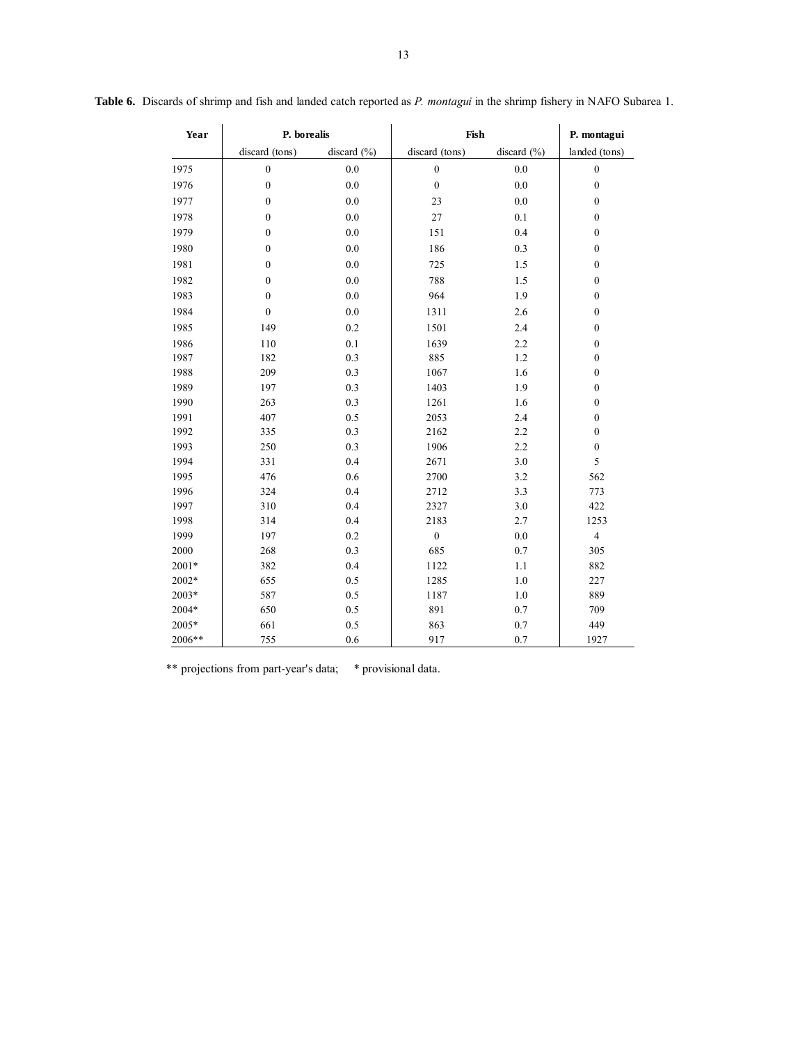| Year    | P. borealis      |                 | Fish             |                 | P. montagui      |  |  |
|---------|------------------|-----------------|------------------|-----------------|------------------|--|--|
|         | discard (tons)   | discard $(\% )$ | discard (tons)   | discard $(\% )$ | landed (tons)    |  |  |
| 1975    | $\boldsymbol{0}$ | $0.0\,$         | $\boldsymbol{0}$ | 0.0             | $\boldsymbol{0}$ |  |  |
| 1976    | $\boldsymbol{0}$ | $0.0\,$         | $\boldsymbol{0}$ | $0.0\,$         | $\boldsymbol{0}$ |  |  |
| 1977    | $\boldsymbol{0}$ | $0.0\,$         | 23               | $0.0\,$         | $\boldsymbol{0}$ |  |  |
| 1978    | $\boldsymbol{0}$ | $0.0\,$         | 27               | 0.1             | $\boldsymbol{0}$ |  |  |
| 1979    | $\boldsymbol{0}$ | 0.0             | 151              | 0.4             | $\boldsymbol{0}$ |  |  |
| 1980    | $\boldsymbol{0}$ | $0.0\,$         | 186              | 0.3             | $\boldsymbol{0}$ |  |  |
| 1981    | $\boldsymbol{0}$ | $0.0\,$         | 725              | 1.5             | $\boldsymbol{0}$ |  |  |
| 1982    | $\boldsymbol{0}$ | $0.0\,$         | 788              | 1.5             | $\boldsymbol{0}$ |  |  |
| 1983    | $\boldsymbol{0}$ | $0.0\,$         | 964              | 1.9             | $\boldsymbol{0}$ |  |  |
| 1984    | $\boldsymbol{0}$ | $0.0\,$         | 1311             | 2.6             | $\boldsymbol{0}$ |  |  |
| 1985    | 149              | 0.2             | 1501             | 2.4             | $\boldsymbol{0}$ |  |  |
| 1986    | 110              | 0.1             | 1639             | 2.2             | $\boldsymbol{0}$ |  |  |
| 1987    | 182              | 0.3             | 885              | 1.2             | $\boldsymbol{0}$ |  |  |
| 1988    | 209              | 0.3             | 1067             | 1.6             | $\boldsymbol{0}$ |  |  |
| 1989    | 197              | 0.3             | 1403             | 1.9             | $\boldsymbol{0}$ |  |  |
| 1990    | 263              | 0.3             | 1261             | 1.6             | $\boldsymbol{0}$ |  |  |
| 1991    | 407              | 0.5             | 2053             | 2.4             | $\boldsymbol{0}$ |  |  |
| 1992    | 335              | 0.3             | 2162             | 2.2             | $\boldsymbol{0}$ |  |  |
| 1993    | 250              | 0.3             | 1906             | 2.2             | $\boldsymbol{0}$ |  |  |
| 1994    | 331              | 0.4             | 2671             | 3.0             | 5                |  |  |
| 1995    | 476              | 0.6             | 2700             | 3.2             | 562              |  |  |
| 1996    | 324              | 0.4             | 2712             | 3.3             | 773              |  |  |
| 1997    | 310              | 0.4             | 2327             | 3.0             | 422              |  |  |
| 1998    | 314              | 0.4             | 2183             | 2.7             | 1253             |  |  |
| 1999    | 197              | $0.2\,$         | $\boldsymbol{0}$ | 0.0             | $\overline{4}$   |  |  |
| 2000    | 268              | 0.3             | 685              | 0.7             | 305              |  |  |
| $2001*$ | 382              | 0.4             | 1122             | 1.1             | 882              |  |  |
| 2002*   | 655              | 0.5             | 1285             | 1.0             | 227              |  |  |
| 2003*   | 587              | 0.5             | 1187             | 1.0             | 889              |  |  |
| $2004*$ | 650              | 0.5             | 891              | $0.7\,$         | 709              |  |  |
| 2005*   | 661              | 0.5             | 863              | 0.7             | 449              |  |  |
| 2006**  | 755              | 0.6             | 917              | 0.7             | 1927             |  |  |

\*\* projections from part-year's data; \* provisional data.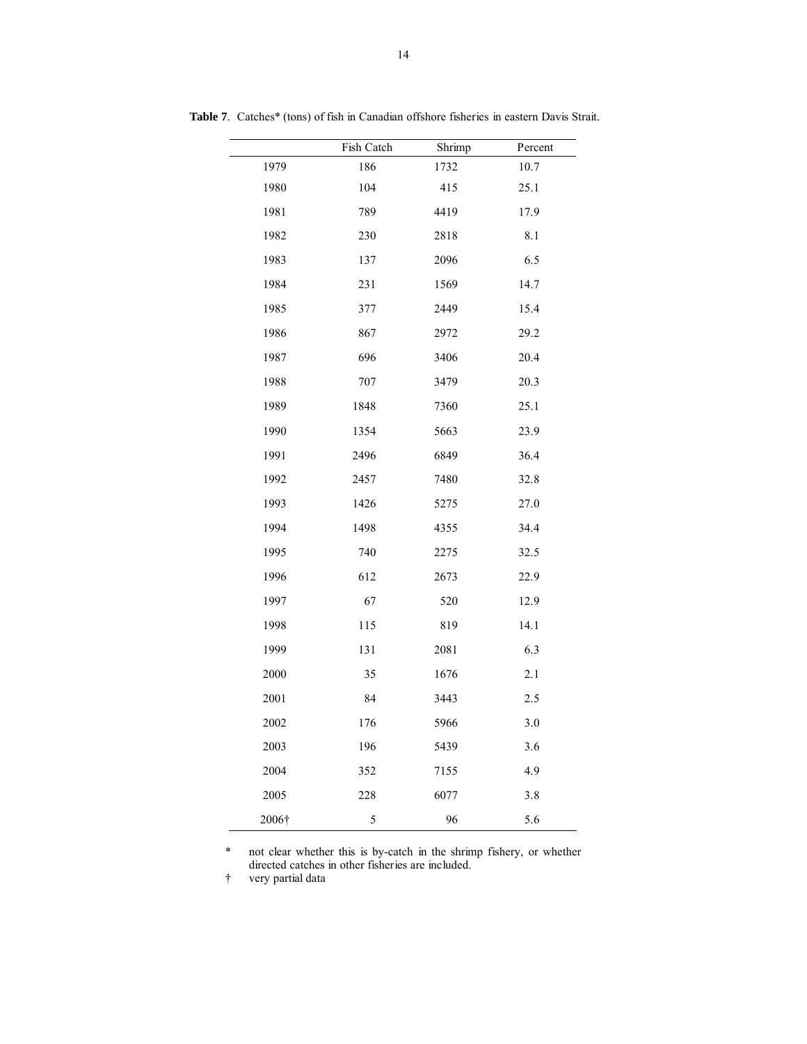|       | Fish Catch | Shrimp | Percent |
|-------|------------|--------|---------|
| 1979  | 186        | 1732   | 10.7    |
| 1980  | 104        | 415    | 25.1    |
| 1981  | 789        | 4419   | 17.9    |
| 1982  | 230        | 2818   | 8.1     |
| 1983  | 137        | 2096   | 6.5     |
| 1984  | 231        | 1569   | 14.7    |
| 1985  | 377        | 2449   | 15.4    |
| 1986  | 867        | 2972   | 29.2    |
| 1987  | 696        | 3406   | 20.4    |
| 1988  | 707        | 3479   | 20.3    |
| 1989  | 1848       | 7360   | 25.1    |
| 1990  | 1354       | 5663   | 23.9    |
| 1991  | 2496       | 6849   | 36.4    |
| 1992  | 2457       | 7480   | 32.8    |
| 1993  | 1426       | 5275   | 27.0    |
| 1994  | 1498       | 4355   | 34.4    |
| 1995  | 740        | 2275   | 32.5    |
| 1996  | 612        | 2673   | 22.9    |
| 1997  | 67         | 520    | 12.9    |
| 1998  | 115        | 819    | 14.1    |
| 1999  | 131        | 2081   | 6.3     |
| 2000  | 35         | 1676   | 2.1     |
| 2001  | 84         | 3443   | 2.5     |
| 2002  | 176        | 5966   | 3.0     |
| 2003  | 196        | 5439   | 3.6     |
| 2004  | 352        | 7155   | 4.9     |
| 2005  | 228        | 6077   | 3.8     |
| 2006† | 5          | 96     | 5.6     |

**Table 7**. Catches\* (tons) of fish in Canadian offshore fisheries in eastern Davis Strait.

\* not clear whether this is by-catch in the shrimp fishery, or whether directed catches in other fisheries are included.

† very partial data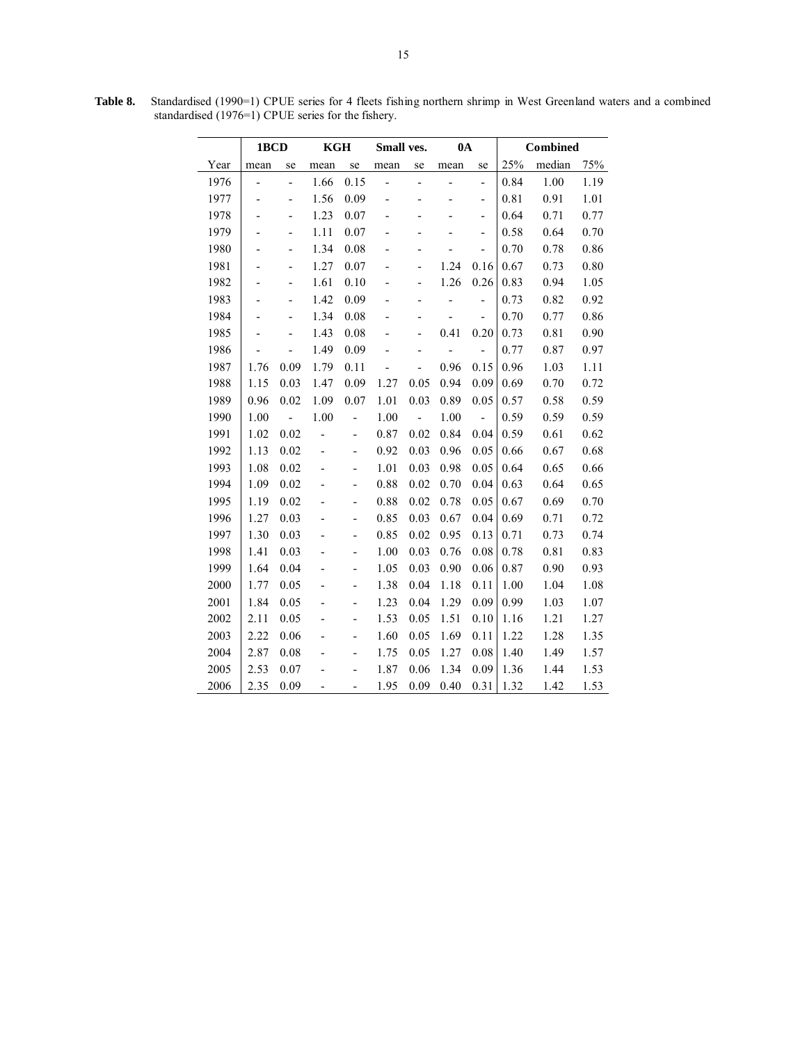|      | 1BCD |                          | KGH  |                          | Small ves.     |                          | $0\text{A}$    |                |      | <b>Combined</b> |      |
|------|------|--------------------------|------|--------------------------|----------------|--------------------------|----------------|----------------|------|-----------------|------|
| Year | mean | se                       | mean | se                       | mean           | se                       | mean           | se             | 25%  | median          | 75%  |
| 1976 | -    | $\overline{\phantom{0}}$ | 1.66 | 0.15                     | $\overline{a}$ | $\overline{a}$           | $\overline{a}$ | $\overline{a}$ | 0.84 | 1.00            | 1.19 |
| 1977 |      | $\overline{a}$           | 1.56 | 0.09                     |                |                          |                | -              | 0.81 | 0.91            | 1.01 |
| 1978 |      | $\overline{\phantom{0}}$ | 1.23 | 0.07                     |                |                          |                | -              | 0.64 | 0.71            | 0.77 |
| 1979 |      | -                        | 1.11 | 0.07                     |                |                          |                | -              | 0.58 | 0.64            | 0.70 |
| 1980 |      | $\overline{a}$           | 1.34 | 0.08                     |                |                          |                | $\overline{a}$ | 0.70 | 0.78            | 0.86 |
| 1981 |      | $\overline{a}$           | 1.27 | 0.07                     |                |                          | 1.24           | 0.16           | 0.67 | 0.73            | 0.80 |
| 1982 |      | $\overline{a}$           | 1.61 | 0.10                     |                |                          | 1.26           | 0.26           | 0.83 | 0.94            | 1.05 |
| 1983 | -    | -                        | 1.42 | 0.09                     |                |                          |                | -              | 0.73 | 0.82            | 0.92 |
| 1984 |      | $\overline{\phantom{0}}$ | 1.34 | 0.08                     |                |                          |                | $\overline{a}$ | 0.70 | 0.77            | 0.86 |
| 1985 |      |                          | 1.43 | 0.08                     |                |                          | 0.41           | 0.20           | 0.73 | 0.81            | 0.90 |
| 1986 |      |                          | 1.49 | 0.09                     |                |                          |                |                | 0.77 | 0.87            | 0.97 |
| 1987 | 1.76 | 0.09                     | 1.79 | 0.11                     |                |                          | 0.96           | 0.15           | 0.96 | 1.03            | 1.11 |
| 1988 | 1.15 | 0.03                     | 1.47 | 0.09                     | 1.27           | 0.05                     | 0.94           | 0.09           | 0.69 | 0.70            | 0.72 |
| 1989 | 0.96 | 0.02                     | 1.09 | 0.07                     | 1.01           | 0.03                     | 0.89           | 0.05           | 0.57 | 0.58            | 0.59 |
| 1990 | 1.00 | $\overline{a}$           | 1.00 |                          | 1.00           | $\overline{\phantom{a}}$ | 1.00           | $\frac{1}{2}$  | 0.59 | 0.59            | 0.59 |
| 1991 | 1.02 | 0.02                     |      | $\overline{\phantom{0}}$ | 0.87           | 0.02                     | 0.84           | 0.04           | 0.59 | 0.61            | 0.62 |
| 1992 | 1.13 | 0.02                     | -    |                          | 0.92           | 0.03                     | 0.96           | 0.05           | 0.66 | 0.67            | 0.68 |
| 1993 | 1.08 | 0.02                     |      |                          | 1.01           | 0.03                     | 0.98           | 0.05           | 0.64 | 0.65            | 0.66 |
| 1994 | 1.09 | 0.02                     |      |                          | 0.88           | 0.02                     | 0.70           | 0.04           | 0.63 | 0.64            | 0.65 |
| 1995 | 1.19 | 0.02                     |      | -                        | 0.88           | 0.02                     | 0.78           | 0.05           | 0.67 | 0.69            | 0.70 |
| 1996 | 1.27 | 0.03                     |      | $\overline{\phantom{0}}$ | 0.85           | 0.03                     | 0.67           | 0.04           | 0.69 | 0.71            | 0.72 |
| 1997 | 1.30 | 0.03                     |      | $\overline{a}$           | 0.85           | 0.02                     | 0.95           | 0.13           | 0.71 | 0.73            | 0.74 |
| 1998 | 1.41 | 0.03                     |      |                          | 1.00           | 0.03                     | 0.76           | 0.08           | 0.78 | 0.81            | 0.83 |
| 1999 | 1.64 | 0.04                     |      | -                        | 1.05           | 0.03                     | 0.90           | 0.06           | 0.87 | 0.90            | 0.93 |
| 2000 | 1.77 | 0.05                     |      |                          | 1.38           | 0.04                     | 1.18           | 0.11           | 1.00 | 1.04            | 1.08 |
| 2001 | 1.84 | 0.05                     |      |                          | 1.23           | 0.04                     | 1.29           | 0.09           | 0.99 | 1.03            | 1.07 |
| 2002 | 2.11 | 0.05                     |      |                          | 1.53           | 0.05                     | 1.51           | 0.10           | 1.16 | 1.21            | 1.27 |
| 2003 | 2.22 | 0.06                     |      | -                        | 1.60           | 0.05                     | 1.69           | 0.11           | 1.22 | 1.28            | 1.35 |
| 2004 | 2.87 | 0.08                     |      |                          | 1.75           | 0.05                     | 1.27           | 0.08           | 1.40 | 1.49            | 1.57 |
| 2005 | 2.53 | 0.07                     |      |                          | 1.87           | 0.06                     | 1.34           | 0.09           | 1.36 | 1.44            | 1.53 |
| 2006 | 2.35 | 0.09                     |      |                          | 1.95           | 0.09                     | 0.40           | 0.31           | 1.32 | 1.42            | 1.53 |

**Table 8.** Standardised (1990=1) CPUE series for 4 fleets fishing northern shrimp in West Greenland waters and a combined standardised (1976=1) CPUE series for the fishery.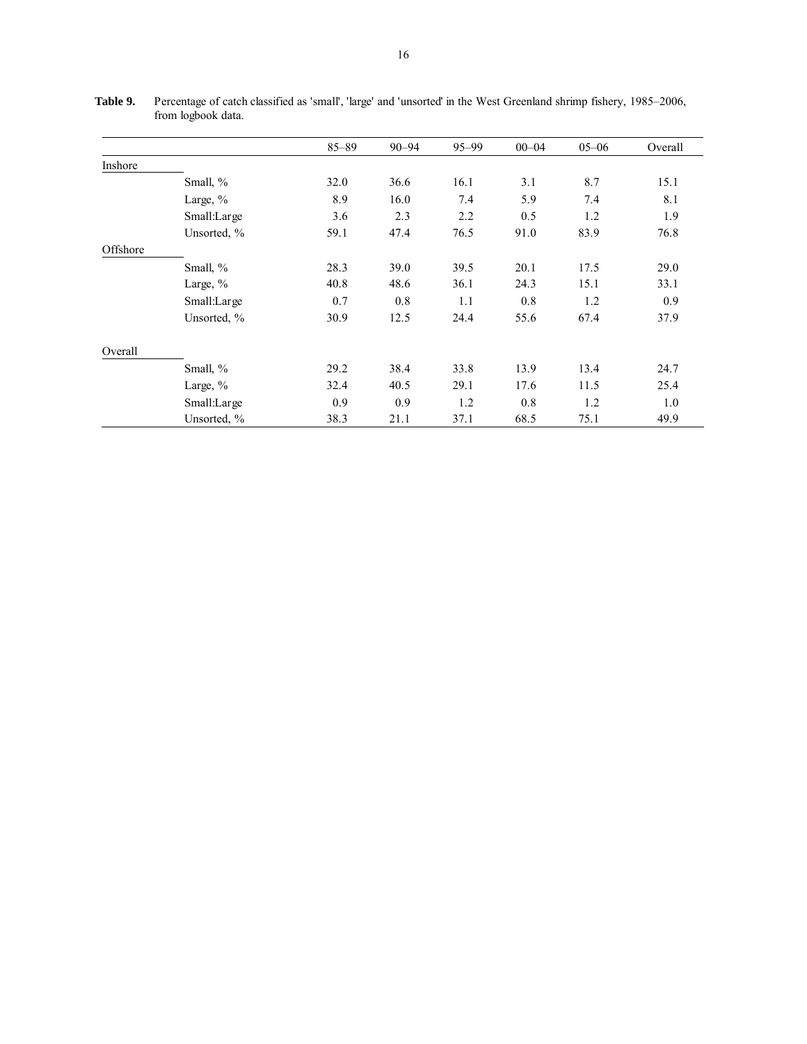|          |             | $85 - 89$ | $90 - 94$ | $95 - 99$ | $00 - 04$ | $05 - 06$ | Overall |
|----------|-------------|-----------|-----------|-----------|-----------|-----------|---------|
| Inshore  |             |           |           |           |           |           |         |
|          | Small, %    | 32.0      | 36.6      | 16.1      | 3.1       | 8.7       | 15.1    |
|          | Large, $\%$ | 8.9       | 16.0      | 7.4       | 5.9       | 7.4       | 8.1     |
|          | Small:Large | 3.6       | 2.3       | 2.2       | 0.5       | 1.2       | 1.9     |
|          | Unsorted, % | 59.1      | 47.4      | 76.5      | 91.0      | 83.9      | 76.8    |
| Offshore |             |           |           |           |           |           |         |
|          | Small, %    | 28.3      | 39.0      | 39.5      | 20.1      | 17.5      | 29.0    |
|          | Large, %    | 40.8      | 48.6      | 36.1      | 24.3      | 15.1      | 33.1    |
|          | Small:Large | 0.7       | 0.8       | 1.1       | 0.8       | 1.2       | 0.9     |
|          | Unsorted, % | 30.9      | 12.5      | 24.4      | 55.6      | 67.4      | 37.9    |
| Overall  |             |           |           |           |           |           |         |
|          | Small, %    | 29.2      | 38.4      | 33.8      | 13.9      | 13.4      | 24.7    |
|          | Large, $\%$ | 32.4      | 40.5      | 29.1      | 17.6      | 11.5      | 25.4    |
|          | Small:Large | 0.9       | 0.9       | 1.2       | 0.8       | 1.2       | 1.0     |
|          | Unsorted, % | 38.3      | 21.1      | 37.1      | 68.5      | 75.1      | 49.9    |

**Table 9.** Percentage of catch classified as 'small', 'large' and 'unsorted' in the West Greenland shrimp fishery, 1985–2006, from logbook data.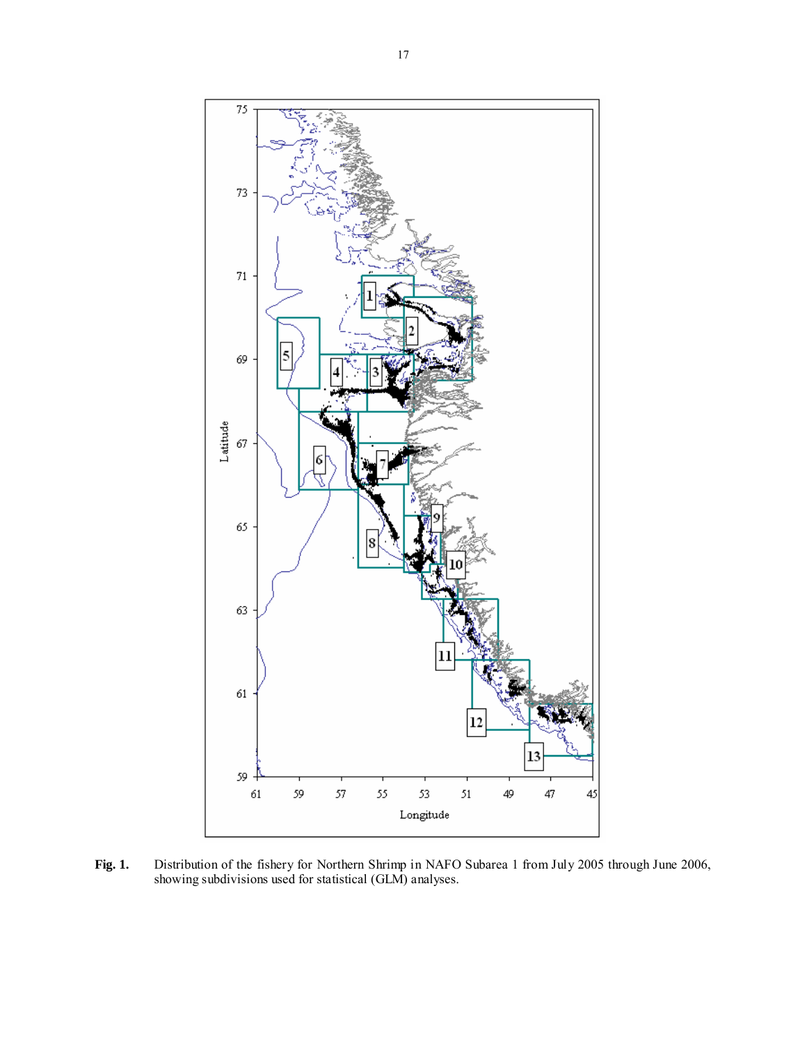

**Fig. 1.** Distribution of the fishery for Northern Shrimp in NAFO Subarea 1 from July 2005 through June 2006, showing subdivisions used for statistical (GLM) analyses.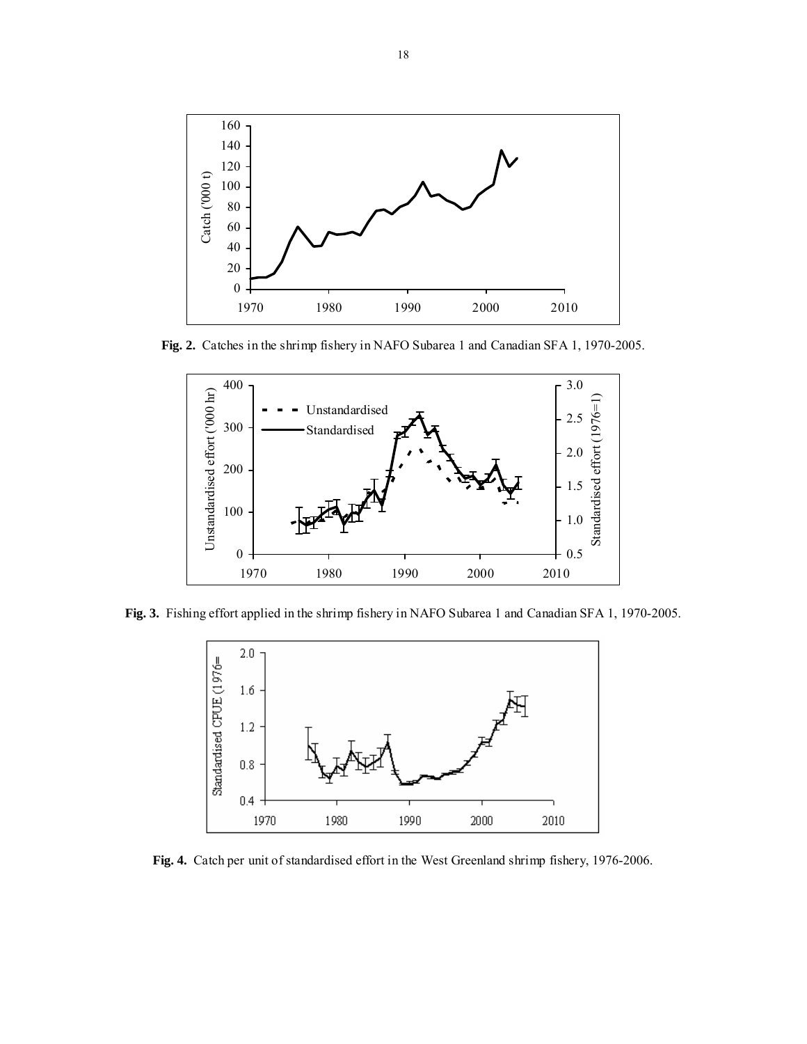

**Fig. 2.** Catches in the shrimp fishery in NAFO Subarea 1 and Canadian SFA 1, 1970-2005.



**Fig. 3.** Fishing effort applied in the shrimp fishery in NAFO Subarea 1 and Canadian SFA 1, 1970-2005.



**Fig. 4.** Catch per unit of standardised effort in the West Greenland shrimp fishery, 1976-2006.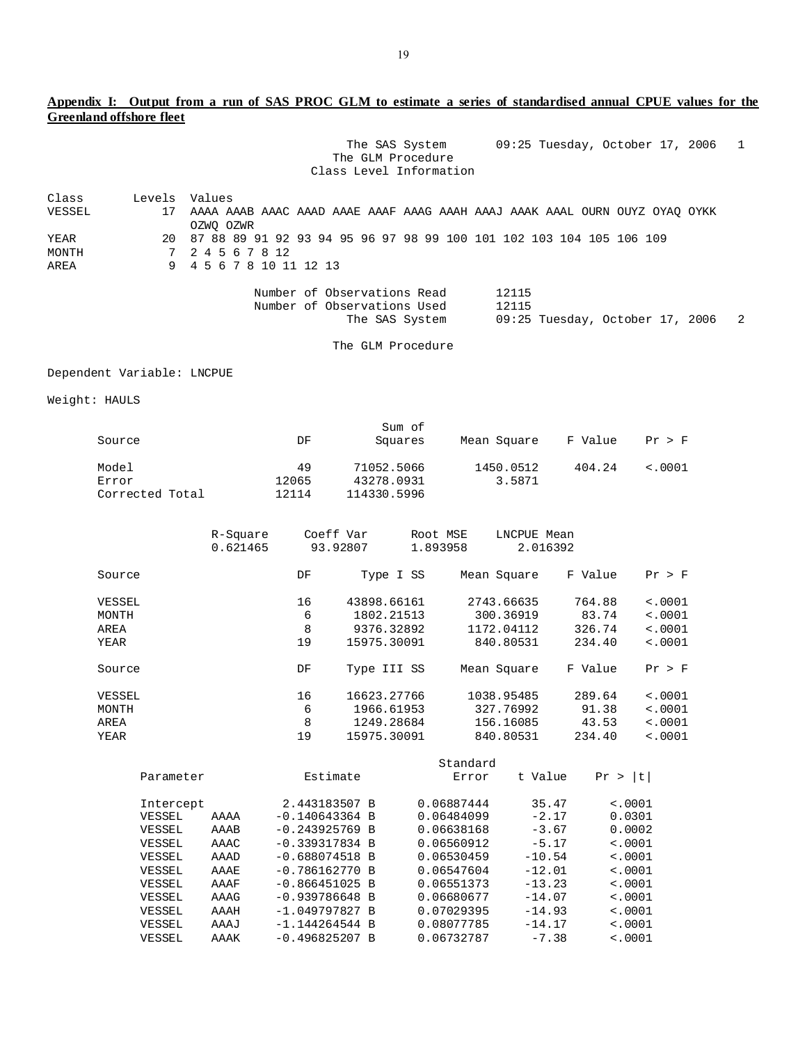# **Appendix I: Output from a run of SAS PROC GLM to estimate a series of standardised annual CPUE values for the Greenland offshore fleet**

|        |   | 09:25 Tuesday, October 17, 2006 1<br>The SAS System<br>The GLM Procedure<br>Class Level Information |  |
|--------|---|-----------------------------------------------------------------------------------------------------|--|
| Class  |   | Levels Values                                                                                       |  |
| VESSEL |   | 17 AAAA AAAB AAAC AAAD AAAE AAAF AAAG AAAH AAAJ AAAK AAAL OURN OUYZ OYAO OYKK<br>OZWO OZWR          |  |
| YEAR   |   | 20 87 88 89 91 92 93 94 95 96 97 98 99 100 101 102 103 104 105 106 109                              |  |
| MONTH  |   | 7 2 4 5 6 7 8 12                                                                                    |  |
| AREA   | 9 | 4 5 6 7 8 10 11 12 13                                                                               |  |
|        |   | Number of Observations Read<br>12115<br>12115<br>Number of Observations Used                        |  |
|        |   | 09:25 Tuesday, October 17, 2006 2<br>The SAS System                                                 |  |

The GLM Procedure

Dependent Variable: LNCPUE

Weight: HAULS

|                 |       | Sum of      |             |         |              |
|-----------------|-------|-------------|-------------|---------|--------------|
| Source          | DF    | Squares     | Mean Square | F Value | Pr > F       |
| Model           | 49    | 71052.5066  | 1450.0512   | 404.24  | $\leq 0.001$ |
| Error           | 12065 | 43278.0931  | 3.5871      |         |              |
| Corrected Total | 12114 | 114330.5996 |             |         |              |

|        | R-Square<br>0.621465 | Coeff Var | 93.92807    | Root MSE<br>1.893958 | LNCPUE Mean | 2.016392 |             |
|--------|----------------------|-----------|-------------|----------------------|-------------|----------|-------------|
| Source |                      | DF        | Type I SS   |                      | Mean Square | F Value  | Pr > F      |
| VESSEL |                      | 16        | 43898.66161 |                      | 2743.66635  | 764.88   | < .0001     |
| MONTH  |                      | 6         | 1802.21513  |                      | 300.36919   | 83.74    | $\leq 0001$ |
| AREA   |                      | 8         | 9376.32892  |                      | 1172.04112  | 326.74   | < .0001     |
| YEAR   |                      | 19        | 15975.30091 |                      | 840.80531   | 234.40   | < .0001     |
| Source |                      | DF        | Type III SS |                      | Mean Square | F Value  | Pr > F      |
| VESSEL |                      | 16        | 16623.27766 |                      | 1038.95485  | 289.64   | < .0001     |
| MONTH  |                      | 6         | 1966.61953  |                      | 327.76992   | 91.38    | < .0001     |
| AREA   |                      | 8         | 1249.28684  |                      | 156.16085   | 43.53    | < .0001     |
| YEAR   |                      | 19        | 15975.30091 |                      | 840.80531   | 234.40   | < .0001     |
|        |                      |           |             |                      |             |          |             |

|               |      | Standard         |  |            |          |                                      |  |  |
|---------------|------|------------------|--|------------|----------|--------------------------------------|--|--|
| Parameter     |      | Estimate         |  | Error      | t Value  | $\lfloor t \rfloor$<br>Pr.<br>$\geq$ |  |  |
| Intercept     |      | 2.443183507 B    |  | 0.06887444 | 35.47    | < .0001                              |  |  |
|               |      | $-0.140643364 B$ |  | 0.06484099 | $-2.17$  | 0.0301                               |  |  |
| VESSEL        | AAAA |                  |  |            |          |                                      |  |  |
| VESSEL        | AAAB | $-0.243925769$ B |  | 0.06638168 | $-3.67$  | 0.0002                               |  |  |
| VESSEL        | AAAC | $-0.339317834 B$ |  | 0.06560912 | $-5.17$  | < .0001                              |  |  |
| VESSEL        | AAAD | $-0.688074518$ B |  | 0.06530459 | $-10.54$ | < .0001                              |  |  |
| VESSEL        | AAAE | $-0.786162770 B$ |  | 0.06547604 | $-12.01$ | < .0001                              |  |  |
| <b>VESSEL</b> | AAAF | $-0.866451025 B$ |  | 0.06551373 | $-13.23$ | < .0001                              |  |  |
| VESSEL        | AAAG | $-0.939786648 B$ |  | 0.06680677 | $-14.07$ | < .0001                              |  |  |
| VESSEL        | AAAH | $-1.049797827 B$ |  | 0.07029395 | $-14.93$ | < .0001                              |  |  |
| VESSEL        | AAAJ | $-1.144264544 B$ |  | 0.08077785 | $-14.17$ | < .0001                              |  |  |
| VESSEL        | AAAK | $-0.496825207 B$ |  | 0.06732787 | $-7.38$  | < .0001                              |  |  |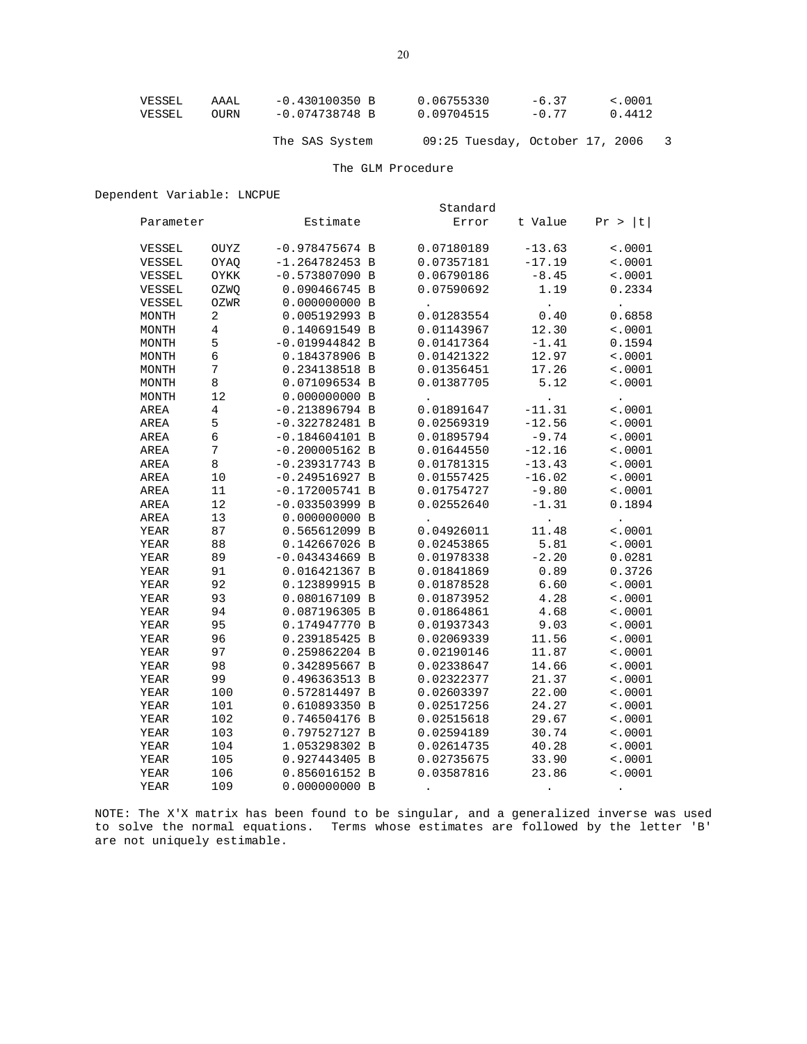| VESSEL | AAAL | -0.430100350 B | 0.06755330 | $-6.37$ | $\sim 0001$ |
|--------|------|----------------|------------|---------|-------------|
| VESSEL | OURN | -0.074738748 B | 0.09704515 | $-0.77$ | 0.4412      |
|        |      |                |            |         |             |

The SAS System 09:25 Tuesday, October 17, 2006 3

## The GLM Procedure

# Dependent Variable: LNCPUE

|           |                | Standard         |  |            |                      |                      |  |  |
|-----------|----------------|------------------|--|------------|----------------------|----------------------|--|--|
| Parameter |                | Estimate         |  | Error      | t Value              | t <br>Pr >           |  |  |
| VESSEL    | OUYZ           | $-0.978475674 B$ |  | 0.07180189 | $-13.63$             | $\sim 0001$          |  |  |
| VESSEL    | OYAQ           | $-1.264782453 B$ |  | 0.07357181 | $-17.19$             | < .0001              |  |  |
| VESSEL    | OYKK           | $-0.573807090$ B |  | 0.06790186 | $-8.45$              | < .0001              |  |  |
| VESSEL    | OZWQ           | 0.090466745 B    |  | 0.07590692 | 1.19                 | 0.2334               |  |  |
| VESSEL    | OZWR           | 0.000000000B     |  |            | $\ddot{\phantom{0}}$ | $\ddot{\phantom{0}}$ |  |  |
| MONTH     | 2              | 0.005192993 B    |  | 0.01283554 | 0.40                 | 0.6858               |  |  |
| MONTH     | 4              | 0.140691549 B    |  | 0.01143967 | 12.30                | < .0001              |  |  |
| MONTH     | 5              | $-0.019944842 B$ |  | 0.01417364 | $-1.41$              | 0.1594               |  |  |
| MONTH     | 6              | 0.184378906 B    |  | 0.01421322 | 12.97                | < .0001              |  |  |
| MONTH     | 7              | 0.234138518 B    |  | 0.01356451 | 17.26                | $\sim 0001$          |  |  |
| MONTH     | 8              | 0.071096534 B    |  | 0.01387705 | 5.12                 | < .0001              |  |  |
| MONTH     | 12             | 0.000000000B     |  |            | $\bullet$            | $\bullet$            |  |  |
| AREA      | $\overline{4}$ | $-0.213896794 B$ |  | 0.01891647 | $-11.31$             | < .0001              |  |  |
| AREA      | 5              | $-0.322782481$ B |  | 0.02569319 | $-12.56$             | < .0001              |  |  |
| AREA      | 6              | $-0.184604101$ B |  | 0.01895794 | $-9.74$              | < .0001              |  |  |
| AREA      | 7              | $-0.200005162 B$ |  | 0.01644550 | $-12.16$             | < .0001              |  |  |
| AREA      | 8              | $-0.239317743 B$ |  | 0.01781315 | $-13.43$             | < .0001              |  |  |
| AREA      | 10             | $-0.249516927 B$ |  | 0.01557425 | $-16.02$             | < .0001              |  |  |
| AREA      | 11             | $-0.172005741 B$ |  | 0.01754727 | $-9.80$              | < .0001              |  |  |
| AREA      | 12             | $-0.033503999$ B |  | 0.02552640 | $-1.31$              | 0.1894               |  |  |
| AREA      | 13             | 0.000000000 B    |  |            |                      | $\ddot{\phantom{1}}$ |  |  |
| YEAR      | 87             | 0.565612099 B    |  | 0.04926011 | 11.48                | $\sim 0001$          |  |  |
| YEAR      | 88             | 0.142667026 B    |  | 0.02453865 | 5.81                 | $\sim 0001$          |  |  |
| YEAR      | 89             | $-0.043434669$ B |  | 0.01978338 | $-2.20$              | 0.0281               |  |  |
| YEAR      | 91             | 0.016421367 B    |  | 0.01841869 | 0.89                 | 0.3726               |  |  |
| YEAR      | 92             | 0.123899915 B    |  | 0.01878528 | 6.60                 | < .0001              |  |  |
| YEAR      | 93             | 0.080167109 B    |  | 0.01873952 | 4.28                 | $\sim 0001$          |  |  |
| YEAR      | 94             | 0.087196305 B    |  | 0.01864861 | 4.68                 | < .0001              |  |  |
| YEAR      | 95             | 0.174947770 B    |  | 0.01937343 | 9.03                 | < .0001              |  |  |
| YEAR      | 96             | 0.239185425 B    |  | 0.02069339 | 11.56                | < .0001              |  |  |
| YEAR      | 97             | 0.259862204 B    |  | 0.02190146 | 11.87                | < .0001              |  |  |
| YEAR      | 98             | 0.342895667 B    |  | 0.02338647 | 14.66                | < .0001              |  |  |
| YEAR      | 99             | 0.496363513 B    |  | 0.02322377 | 21.37                | < .0001              |  |  |
| YEAR      | 100            | 0.572814497 B    |  | 0.02603397 | 22.00                | < .0001              |  |  |
| YEAR      | 101            | 0.610893350 B    |  | 0.02517256 | 24.27                | < .0001              |  |  |
| YEAR      | 102            | 0.746504176 B    |  | 0.02515618 | 29.67                | < .0001              |  |  |
| YEAR      | 103            | 0.797527127 B    |  | 0.02594189 | 30.74                | < .0001              |  |  |
| YEAR      | 104            | 1.053298302 B    |  | 0.02614735 | 40.28                | < .0001              |  |  |
| YEAR      | 105            | 0.927443405 B    |  | 0.02735675 | 33.90                | < .0001              |  |  |
| YEAR      | 106            | 0.856016152 B    |  | 0.03587816 | 23.86                | < .0001              |  |  |
| YEAR      | 109            | 0.000000000 B    |  |            |                      |                      |  |  |

NOTE: The X'X matrix has been found to be singular, and a generalized inverse was used to solve the normal equations. Terms whose estimates are followed by the letter 'B' are not uniquely estimable.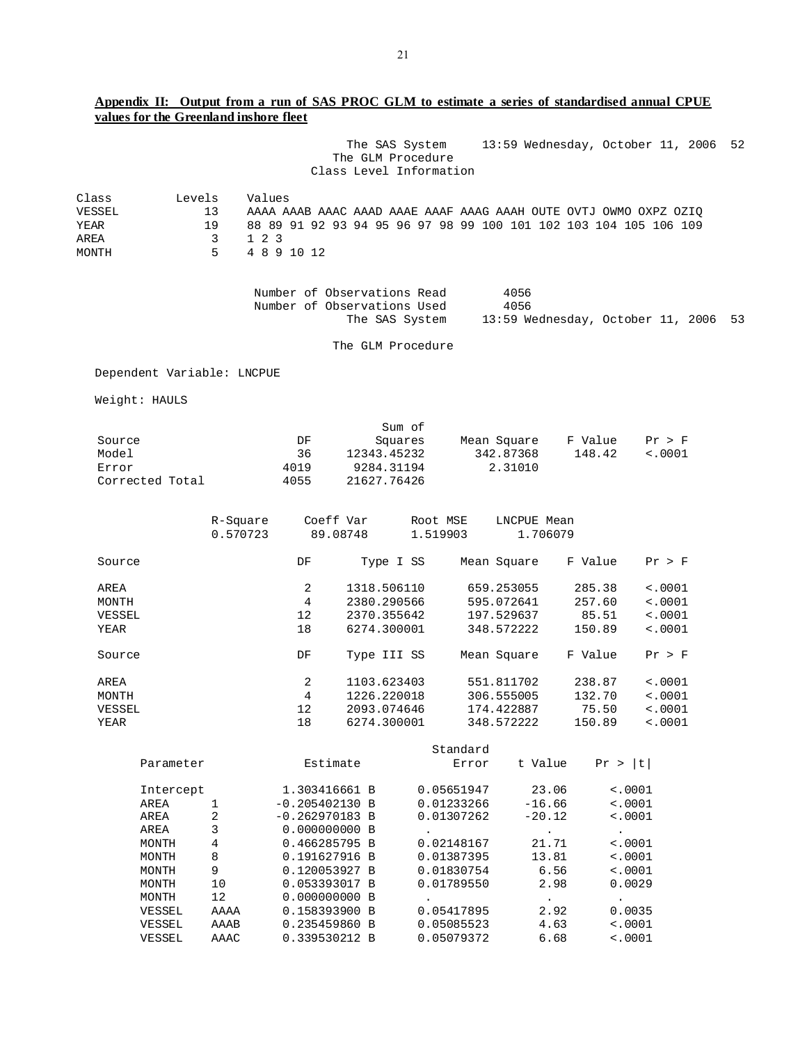# **Appendix II: Output from a run of SAS PROC GLM to estimate a series of standardised annual CPUE values for the Greenland inshore fleet**

|        |                            |                      |                             |               | The SAS System<br>The GLM Procedure | Class Level Information |             |                        | 13:59 Wednesday, October 11, 2006                                | 52 |
|--------|----------------------------|----------------------|-----------------------------|---------------|-------------------------------------|-------------------------|-------------|------------------------|------------------------------------------------------------------|----|
|        |                            |                      |                             |               |                                     |                         |             |                        |                                                                  |    |
| Class  | Levels                     | Values               |                             |               |                                     |                         |             |                        |                                                                  |    |
| VESSEL |                            | 13                   |                             |               |                                     |                         |             |                        | AAAA AAAB AAAC AAAD AAAE AAAF AAAG AAAH OUTE OVTJ OWMO OXPZ OZIQ |    |
| YEAR   |                            | 19                   |                             |               |                                     |                         |             |                        | 88 89 91 92 93 94 95 96 97 98 99 100 101 102 103 104 105 106 109 |    |
| AREA   |                            | $1\quad2\quad3$<br>3 |                             |               |                                     |                         |             |                        |                                                                  |    |
| MONTH  |                            | 5                    | 4 8 9 10 12                 |               |                                     |                         |             |                        |                                                                  |    |
|        |                            |                      | Number of Observations Read |               |                                     |                         | 4056        |                        |                                                                  |    |
|        |                            |                      | Number of Observations Used |               | The SAS System                      |                         | 4056        |                        | 13:59 Wednesday, October 11, 2006                                | 53 |
|        |                            |                      |                             |               | The GLM Procedure                   |                         |             |                        |                                                                  |    |
|        | Dependent Variable: LNCPUE |                      |                             |               |                                     |                         |             |                        |                                                                  |    |
|        | Weight: HAULS              |                      |                             |               |                                     |                         |             |                        |                                                                  |    |
|        |                            |                      |                             |               | Sum of                              |                         |             |                        |                                                                  |    |
| Source |                            |                      | DF                          |               | Squares                             |                         | Mean Square | F Value                | Pr > F                                                           |    |
| Model  |                            |                      | 36                          |               | 12343.45232                         |                         | 342.87368   | 148.42                 | < .0001                                                          |    |
| Error  |                            |                      | 4019                        |               | 9284.31194                          |                         | 2.31010     |                        |                                                                  |    |
|        | Corrected Total            |                      | 4055                        |               | 21627.76426                         |                         |             |                        |                                                                  |    |
|        |                            |                      |                             |               |                                     |                         |             |                        |                                                                  |    |
|        |                            | R-Square             |                             | Coeff Var     |                                     | Root MSE                | LNCPUE Mean |                        |                                                                  |    |
|        |                            | 0.570723             |                             | 89.08748      |                                     | 1.519903                | 1.706079    |                        |                                                                  |    |
| Source |                            |                      | DF                          |               | Type I SS                           |                         | Mean Square | F Value                | Pr > F                                                           |    |
| AREA   |                            |                      | 2                           |               | 1318.506110                         |                         | 659.253055  | 285.38                 | $\sim 0001$                                                      |    |
| MONTH  |                            |                      | $\overline{4}$              |               | 2380.290566                         |                         | 595.072641  | 257.60                 | < .0001                                                          |    |
| VESSEL |                            |                      | 12                          |               | 2370.355642                         |                         | 197.529637  | 85.51                  | < .0001                                                          |    |
| YEAR   |                            |                      | 18                          |               | 6274.300001                         |                         | 348.572222  | 150.89                 | < .0001                                                          |    |
| Source |                            |                      | DF                          |               | Type III SS                         |                         | Mean Square | F Value                | Pr > F                                                           |    |
| AREA   |                            |                      | 2                           |               | 1103.623403                         |                         | 551.811702  | 238.87                 | $\sim 0001$                                                      |    |
| MONTH  |                            |                      | 4                           |               | 1226.220018                         |                         | 306.555005  | 132.70                 | < .0001                                                          |    |
| VESSEL |                            |                      | 12                          |               | 2093.074646                         |                         | 174.422887  | 75.50                  | < .0001                                                          |    |
| YEAR   |                            |                      | 18                          |               | 6274.300001                         |                         | 348.572222  | 150.89                 | $\sim 0001$                                                      |    |
|        |                            |                      |                             |               |                                     | Standard                |             |                        |                                                                  |    |
|        | Parameter                  |                      |                             | Estimate      |                                     | Error                   | t Value     | Pr >  t                |                                                                  |    |
|        | Intercept                  |                      |                             | 1.303416661 B |                                     | 0.05651947              | 23.06       |                        | $\sim 0001$                                                      |    |
|        | AREA                       | $\mathbf{1}$         | $-0.205402130 B$            |               |                                     | 0.01233266              | $-16.66$    |                        | < .0001                                                          |    |
|        | AREA                       | 2                    | $-0.262970183 B$            |               |                                     | 0.01307262              | $-20.12$    |                        | < .0001                                                          |    |
|        | AREA                       | 3                    |                             | 0.000000000 B |                                     | $\bullet$               | $\sim$ $-$  | $\sim 100$             |                                                                  |    |
|        | MONTH                      | 4                    |                             | 0.466285795 B |                                     | 0.02148167              | 21.71       |                        | < .0001                                                          |    |
|        | MONTH                      | 8                    |                             | 0.191627916 B |                                     | 0.01387395              | 13.81       |                        | < .0001                                                          |    |
|        | MONTH                      | 9                    |                             | 0.120053927 B |                                     | 0.01830754              | 6.56        |                        | $\sim 0001$                                                      |    |
|        | MONTH                      | 10                   |                             | 0.053393017 B |                                     | 0.01789550              | 2.98        |                        | 0.0029                                                           |    |
|        | MONTH                      | 12                   |                             | 0.000000000 B |                                     | $\bullet$               | $\bullet$   | $\ddot{\phantom{a}}$ . |                                                                  |    |
|        | VESSEL                     | AAAA                 |                             | 0.158393900 B |                                     | 0.05417895              | 2.92        |                        | 0.0035                                                           |    |
|        | VESSEL                     | AAAB                 |                             | 0.235459860 B |                                     | 0.05085523              | 4.63        |                        | $\sim 0001$                                                      |    |
|        | VESSEL                     | AAAC                 |                             | 0.339530212 B |                                     | 0.05079372              | 6.68        |                        | $\sim 0001$                                                      |    |
|        |                            |                      |                             |               |                                     |                         |             |                        |                                                                  |    |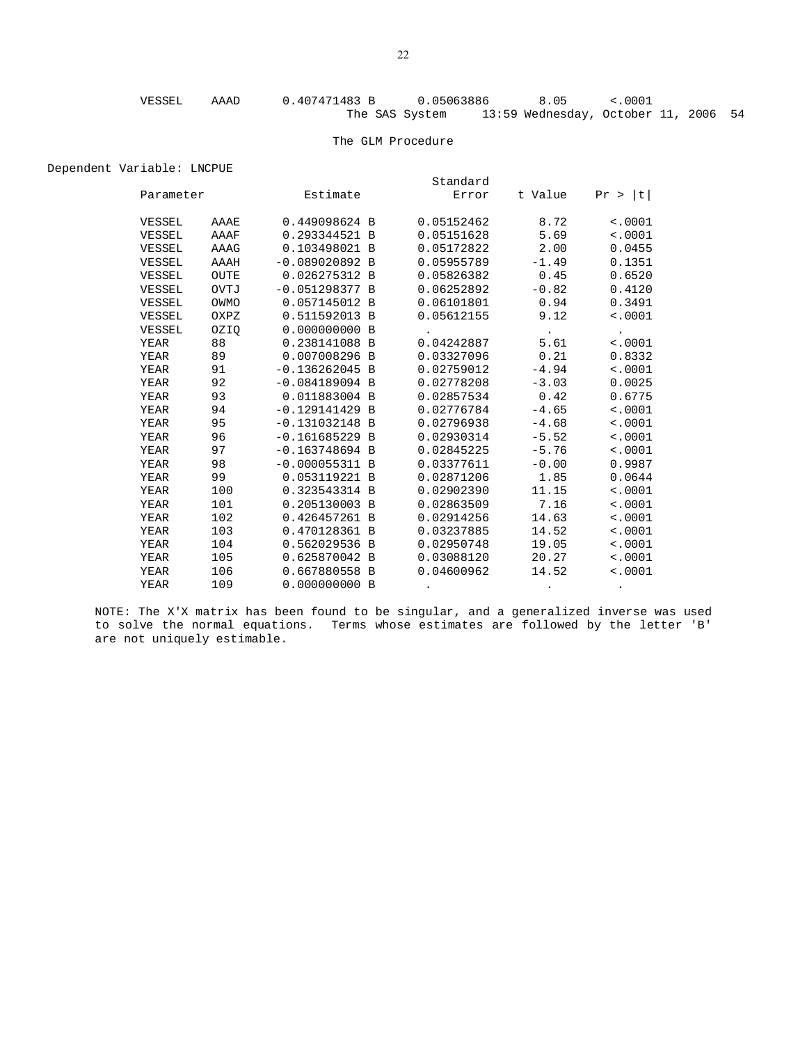#### The GLM Procedure

Dependent Variable: LNCPUE

|             |      |                  |  | Standard             |                         |                 |  |
|-------------|------|------------------|--|----------------------|-------------------------|-----------------|--|
| Parameter   |      | Estimate         |  | Error                | t Value                 | Pr >  t         |  |
| VESSEL      | AAAE | 0.449098624 B    |  | 0.05152462           | 8.72                    | < .0001         |  |
| VESSEL      | AAAF | 0.293344521 B    |  | 0.05151628           | 5.69                    | < .0001         |  |
| VESSEL      | AAAG | 0.103498021 B    |  | 0.05172822           | 2.00                    | 0.0455          |  |
| VESSEL      | AAAH | $-0.089020892 B$ |  | 0.05955789           | $-1.49$                 | 0.1351          |  |
| VESSEL      | OUTE | 0.026275312 B    |  | 0.05826382           | 0.45                    | 0.6520          |  |
| VESSEL      | OVTJ | $-0.051298377 B$ |  | 0.06252892           | $-0.82$                 | 0.4120          |  |
| VESSEL      | OWMO | 0.057145012 B    |  | 0.06101801           | 0.94                    | 0.3491          |  |
| VESSEL      | OXPZ | 0.511592013 B    |  | 0.05612155           | 9.12                    | < .0001         |  |
| VESSEL      | OZIO | 0.000000000B     |  | $\ddot{\phantom{0}}$ | $\sim 100$ km s $^{-1}$ | $\sim 10^{-11}$ |  |
| YEAR        | 88   | 0.238141088 B    |  | 0.04242887           | 5.61                    | < .0001         |  |
| YEAR        | 89   | 0.007008296 B    |  | 0.03327096           | 0.21                    | 0.8332          |  |
| YEAR        | 91   | $-0.136262045 B$ |  | 0.02759012           | $-4.94$                 | < .0001         |  |
| YEAR        | 92   | $-0.084189094 B$ |  | 0.02778208           | $-3.03$                 | 0.0025          |  |
| YEAR        | 93   | 0.011883004 B    |  | 0.02857534           | 0.42                    | 0.6775          |  |
| YEAR        | 94   | $-0.129141429B$  |  | 0.02776784           | $-4.65$                 | < .0001         |  |
| YEAR        | 95   | $-0.131032148$ B |  | 0.02796938           | $-4.68$                 | < .0001         |  |
| YEAR        | 96   | $-0.161685229$ B |  | 0.02930314           | $-5.52$                 | < .0001         |  |
| YEAR        | 97   | $-0.163748694 B$ |  | 0.02845225           | $-5.76$                 | < .0001         |  |
| YEAR        | 98   | $-0.000055311 B$ |  | 0.03377611           | $-0.00$                 | 0.9987          |  |
| YEAR        | 99   | 0.053119221 B    |  | 0.02871206           | 1.85                    | 0.0644          |  |
| YEAR        | 100  | 0.323543314 B    |  | 0.02902390           | 11.15                   | < .0001         |  |
| YEAR        | 101  | 0.205130003 B    |  | 0.02863509           | 7.16                    | < .0001         |  |
| YEAR        | 102  | 0.426457261 B    |  | 0.02914256           | 14.63                   | < .0001         |  |
| YEAR        | 103  | 0.470128361 B    |  | 0.03237885           | 14.52                   | < .0001         |  |
| YEAR        | 104  | 0.562029536 B    |  | 0.02950748           | 19.05                   | < .0001         |  |
| YEAR        | 105  | 0.625870042 B    |  | 0.03088120           | 20.27                   | < .0001         |  |
| <b>YEAR</b> | 106  | 0.667880558 B    |  | 0.04600962           | 14.52                   | < .0001         |  |
| YEAR        | 109  | 0.000000000 B    |  |                      |                         |                 |  |

NOTE: The X'X matrix has been found to be singular, and a generalized inverse was used to solve the normal equations. Terms whose estimates are followed by the letter 'B' are not uniquely estimable.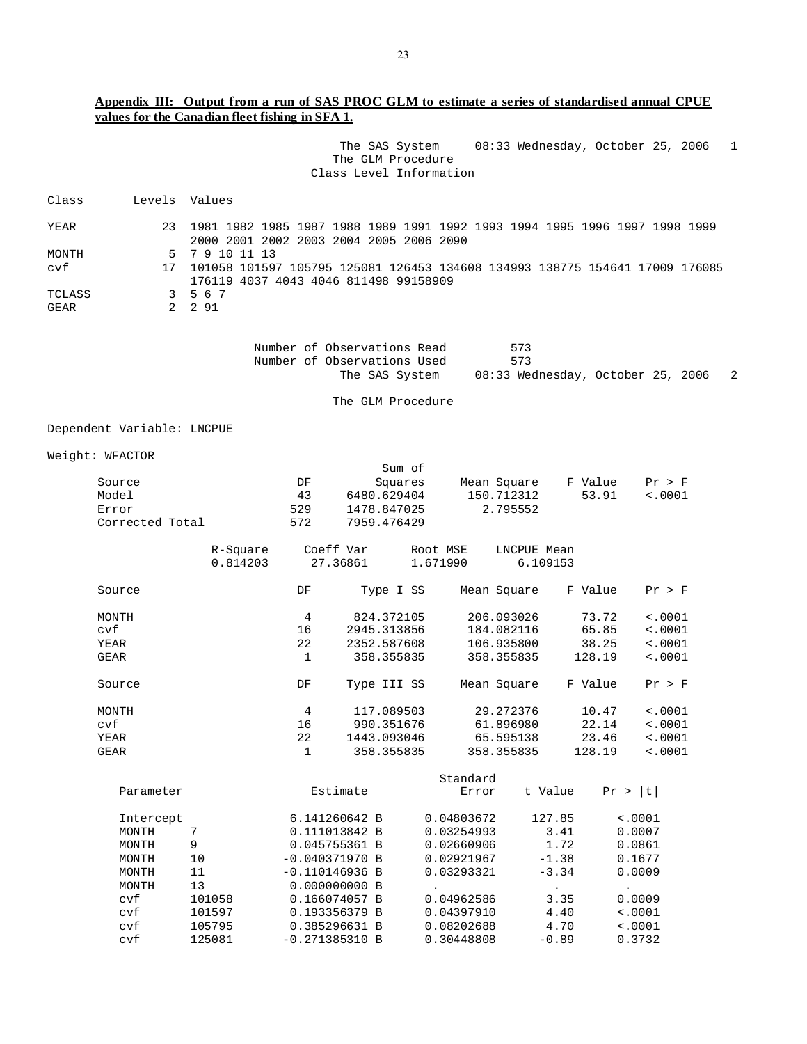# **Appendix III: Output from a run of SAS PROC GLM to estimate a series of standardised annual CPUE values for the Canadian fleet fishing in SFA 1.**

|                |                            |                                                                                                                         |              | The SAS System<br>The GLM Procedure<br>Class Level Information               |           |            |             | 08:33 Wednesday, October 25, 2006 |             |             | 1 |
|----------------|----------------------------|-------------------------------------------------------------------------------------------------------------------------|--------------|------------------------------------------------------------------------------|-----------|------------|-------------|-----------------------------------|-------------|-------------|---|
| Class          |                            | Levels Values                                                                                                           |              |                                                                              |           |            |             |                                   |             |             |   |
| YEAR           | 23                         | 1981 1982 1985 1987 1988 1989 1991 1992 1993 1994 1995 1996 1997 1998 1999<br>2000 2001 2002 2003 2004 2005 2006 2090   |              |                                                                              |           |            |             |                                   |             |             |   |
| MONTH          |                            | 5 7 9 10 11 13                                                                                                          |              |                                                                              |           |            |             |                                   |             |             |   |
| cvf            |                            | 17 101058 101597 105795 125081 126453 134608 134993 138775 154641 17009 176085<br>176119 4037 4043 4046 811498 99158909 |              |                                                                              |           |            |             |                                   |             |             |   |
| TCLASS<br>GEAR | 3<br>$\overline{a}$        | 567<br>2 9 1                                                                                                            |              |                                                                              |           |            |             |                                   |             |             |   |
|                |                            |                                                                                                                         |              |                                                                              |           |            |             |                                   |             |             |   |
|                |                            |                                                                                                                         |              | Number of Observations Read<br>Number of Observations Used<br>The SAS System |           |            | 573<br>573  | 08:33 Wednesday, October 25, 2006 |             |             | 2 |
|                |                            |                                                                                                                         |              | The GLM Procedure                                                            |           |            |             |                                   |             |             |   |
|                |                            |                                                                                                                         |              |                                                                              |           |            |             |                                   |             |             |   |
|                | Dependent Variable: LNCPUE |                                                                                                                         |              |                                                                              |           |            |             |                                   |             |             |   |
|                | Weight: WFACTOR            |                                                                                                                         |              |                                                                              | Sum of    |            |             |                                   |             |             |   |
|                | Source                     |                                                                                                                         | DF           |                                                                              | Squares   |            | Mean Square |                                   | F Value     | Pr > F      |   |
|                | Model                      |                                                                                                                         | 43           | 6480.629404                                                                  |           |            | 150.712312  |                                   | 53.91       | < .0001     |   |
|                | Error                      |                                                                                                                         | 529          | 1478.847025                                                                  |           |            | 2.795552    |                                   |             |             |   |
|                | Corrected Total            |                                                                                                                         | 572          | 7959.476429                                                                  |           |            |             |                                   |             |             |   |
|                |                            | R-Square                                                                                                                |              | Coeff Var                                                                    |           | Root MSE   | LNCPUE Mean |                                   |             |             |   |
|                |                            | 0.814203                                                                                                                |              | 27.36861                                                                     |           | 1.671990   |             | 6.109153                          |             |             |   |
|                | Source                     |                                                                                                                         | DF           | Type I SS                                                                    |           |            | Mean Square |                                   | F Value     | Pr > F      |   |
|                | MONTH                      |                                                                                                                         | 4            | 824.372105                                                                   |           |            | 206.093026  |                                   | 73.72       | $\sim 0001$ |   |
|                | cvf                        |                                                                                                                         | 16           | 2945.313856                                                                  |           |            | 184.082116  |                                   | 65.85       | $\sim 0001$ |   |
|                | YEAR                       |                                                                                                                         | 22           | 2352.587608                                                                  |           |            | 106.935800  |                                   | 38.25       | $\sim 0001$ |   |
|                | <b>GEAR</b>                |                                                                                                                         | 1            | 358.355835                                                                   |           |            | 358.355835  |                                   | 128.19      | $\sim 0001$ |   |
|                | Source                     |                                                                                                                         | DF           | Type III SS                                                                  |           |            | Mean Square |                                   | F Value     | Pr > F      |   |
|                | MONTH                      |                                                                                                                         | 4            | 117.089503                                                                   |           |            | 29.272376   |                                   | 10.47       | $\sim 0001$ |   |
|                | cvf                        |                                                                                                                         | 16           | 990.351676                                                                   |           |            | 61.896980   |                                   | 22.14       | < .0001     |   |
|                | YEAR                       |                                                                                                                         | 22           | 1443.093046                                                                  |           |            | 65.595138   |                                   | 23.46       | < .0001     |   |
|                | GEAR                       |                                                                                                                         | $\mathbf{1}$ | 358.355835                                                                   |           |            | 358.355835  |                                   | 128.19      | < .0001     |   |
|                |                            |                                                                                                                         |              |                                                                              |           | Standard   |             |                                   |             |             |   |
|                | Parameter                  |                                                                                                                         |              | Estimate                                                                     |           | Error      |             | t Value                           | Pr >  t     |             |   |
|                | Intercept                  |                                                                                                                         |              | 6.141260642 B                                                                |           | 0.04803672 |             | 127.85                            | $\sim 0001$ |             |   |
|                | MONTH                      | 7                                                                                                                       |              | 0.111013842 B                                                                |           | 0.03254993 |             | 3.41                              | 0.0007      |             |   |
|                | MONTH                      | 9                                                                                                                       |              | 0.045755361 B                                                                |           | 0.02660906 |             | 1.72                              | 0.0861      |             |   |
|                | MONTH                      | 10                                                                                                                      |              | $-0.040371970 B$                                                             |           | 0.02921967 |             | $-1.38$                           | 0.1677      |             |   |
|                | MONTH                      | 11                                                                                                                      |              | $-0.110146936$ B                                                             |           | 0.03293321 |             | $-3.34$                           | 0.0009      |             |   |
|                | MONTH                      | 13                                                                                                                      |              | 0.000000000 B                                                                | $\bullet$ |            |             | $\bullet$                         | $\bullet$ . |             |   |
|                | cvf                        | 101058                                                                                                                  |              | 0.166074057 B                                                                |           | 0.04962586 |             | 3.35                              | 0.0009      |             |   |
|                | cvf                        | 101597                                                                                                                  |              | 0.193356379 B                                                                |           | 0.04397910 |             | 4.40                              | < .0001     |             |   |
|                | cvf                        | 105795                                                                                                                  |              | 0.385296631 B                                                                |           | 0.08202688 |             | 4.70                              | 10001       |             |   |
|                | cvf                        | 125081                                                                                                                  |              | $-0.271385310 B$                                                             |           | 0.30448808 |             | $-0.89$                           |             | 0.3732      |   |